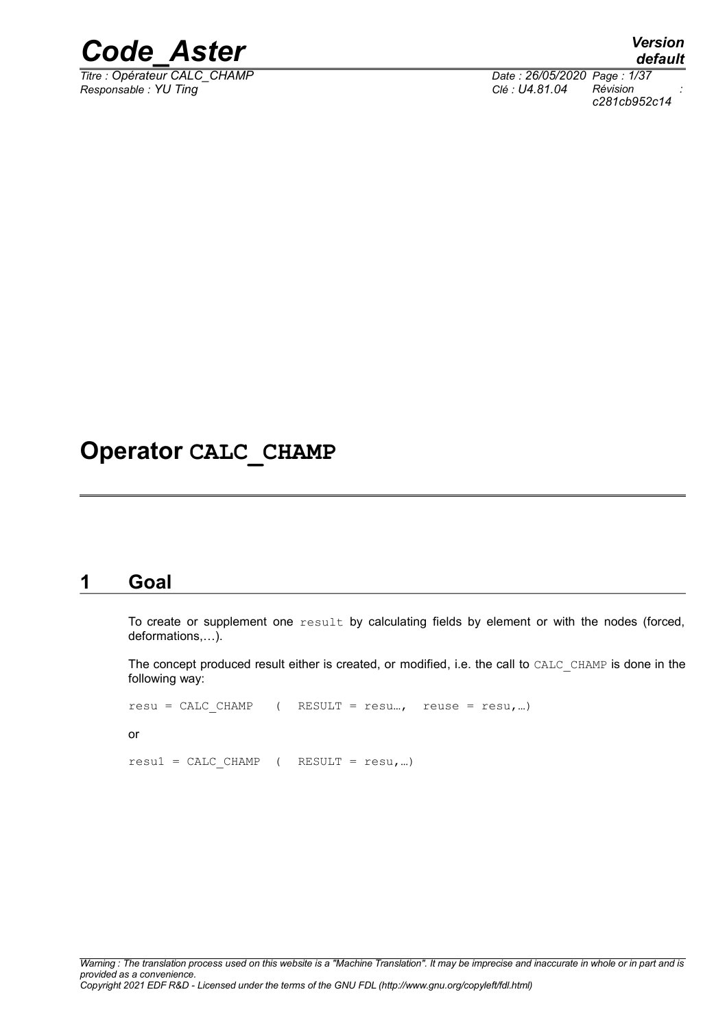

*Titre : Opérateur CALC\_CHAMP Date : 26/05/2020 Page : 1/37 Responsable : YU Ting Clé : U4.81.04 Révision :*

*default c281cb952c14*

### **Operator CALC\_CHAMP**

### **1 Goal**

<span id="page-0-0"></span>To create or supplement one  $result$  by calculating fields by element or with the nodes (forced, deformations,…).

The concept produced result either is created, or modified, i.e. the call to CALC\_CHAMP is done in the following way:

```
resu = CALC CHAMP ( RESULT = resu..., reuse = resu,...)
or
result = CALCCHAMP ( RESULT = result, ...)
```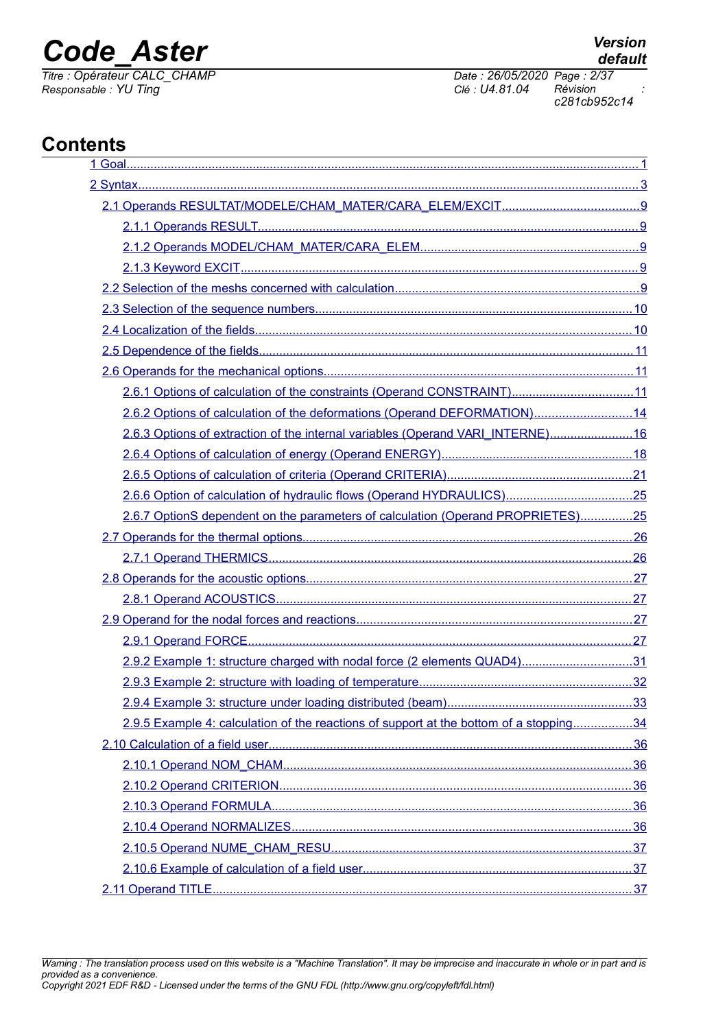*Titre : Opérateur CALC\_CHAMP Date : 26/05/2020 Page : 2/37*

*Responsable : YU Ting Clé : U4.81.04 Révision : c281cb952c14*

### **Contents**

| 2.6.1 Options of calculation of the constraints (Operand CONSTRAINT)11                 |  |
|----------------------------------------------------------------------------------------|--|
| 2.6.2 Options of calculation of the deformations (Operand DEFORMATION)14               |  |
| 2.6.3 Options of extraction of the internal variables (Operand VARI_INTERNE)16         |  |
|                                                                                        |  |
|                                                                                        |  |
|                                                                                        |  |
| 2.6.7 OptionS dependent on the parameters of calculation (Operand PROPRIETES)25        |  |
|                                                                                        |  |
|                                                                                        |  |
|                                                                                        |  |
|                                                                                        |  |
|                                                                                        |  |
|                                                                                        |  |
| 2.9.2 Example 1: structure charged with nodal force (2 elements QUAD4)31               |  |
|                                                                                        |  |
|                                                                                        |  |
| 2.9.5 Example 4: calculation of the reactions of support at the bottom of a stopping34 |  |
|                                                                                        |  |
|                                                                                        |  |
|                                                                                        |  |
|                                                                                        |  |
|                                                                                        |  |
|                                                                                        |  |
|                                                                                        |  |
|                                                                                        |  |

*Warning : The translation process used on this website is a "Machine Translation". It may be imprecise and inaccurate in whole or in part and is provided as a convenience. Copyright 2021 EDF R&D - Licensed under the terms of the GNU FDL (http://www.gnu.org/copyleft/fdl.html)*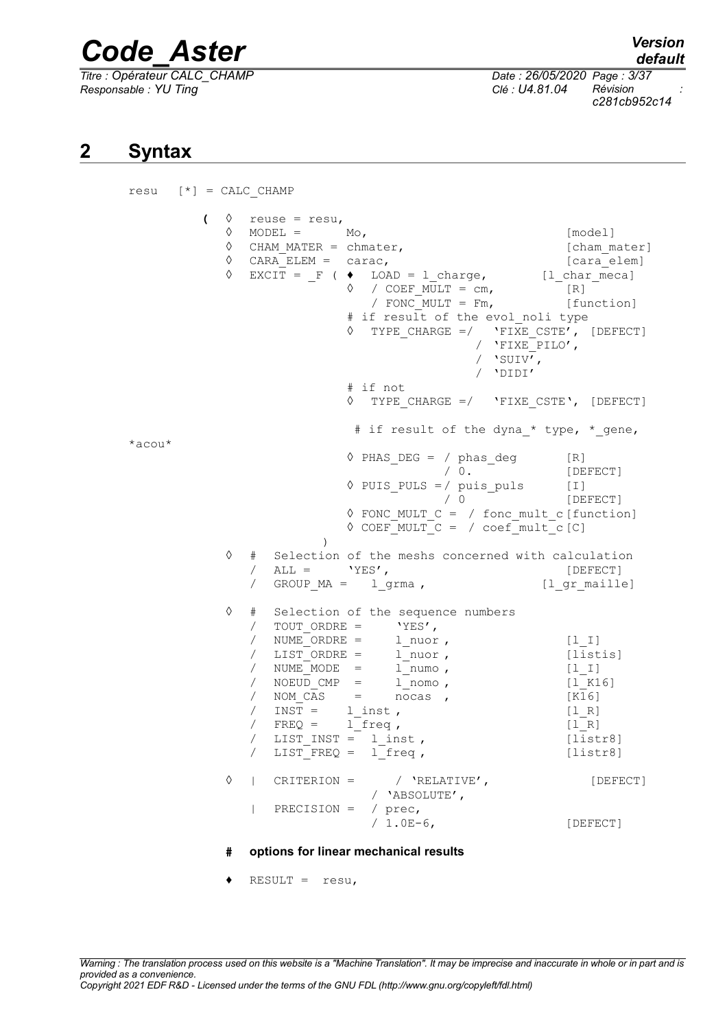*Titre : Opérateur CALC\_CHAMP Date : 26/05/2020 Page : 3/37 Responsable : YU Ting Clé : U4.81.04 Révision :*

<span id="page-2-0"></span> $resu$   $[*] = CALC$  CHAMP

*default c281cb952c14*

### **2 Syntax**

 $\Diamond$  reuse = resu,  $\Diamond$  MODEL = Mo,  $[\text{model}]$ ◊ CHAM\_MATER = chmater, [cham\_mater]  $\sqrt{CARA_ELEM} = \text{carac}$ , [cara\_elem]  $\Diamond$  EXCIT =  $_F$  (  $\blacklozenge$  LOAD = 1\_charge,  $[1$ \_char\_meca]  $\Diamond$  / COEF MULT = cm, [R]  $\begin{array}{ccc} \text{7} & \text{COEF} & \text{MULT} = \text{cm}, & \text{F} \\ \text{7} & \text{FONC} & \text{MULT} = \text{Fm}, & \text{[function]} \end{array}$ # if result of the evol noli type  $\sqrt{PTYPE}$  CHARGE =/ 'FIXE CSTE', [DEFECT] / 'FIXE\_PILO', /  $'$ SUIV<sup> $\overline{'}$ </sup>, / 'DIDI' # if not ◊ TYPE\_CHARGE =/ 'FIXE\_CSTE', [DEFECT] # if result of the dyna \* type, \* gene,  $*a$ cou $*$  $\sqrt[6]{PHAS_DEG} = / phase_G \text{deg}$  [R]<br>  $/ 0.$  [DE] [DEFECT] ◊ PUIS\_PULS =/ puis\_puls [I] / 0 [DEFECT] ◊ FONC\_MULT\_C = / fonc\_mult\_c[function]  $\sqrt{C}$  COEF MULT  $C = / \text{coeff}$  mult  $c[C]$ ) ◊ # Selection of the meshs concerned with calculation / ALL = 'YES', [DEFECT] / GROUP\_MA = l\_grma , [l\_gr\_maille] ◊ # Selection of the sequence numbers / TOUT\_ORDRE = 'YES',<br>/ NUME ORDRE = 1 nuor / NUME ORDRE = l nuor , [l\_I] / LIST\_ORDRE = l\_nuor , [listis] / NUME\_MODE = l\_numo , [l\_I] / NOEUD CMP = l nomo , [l K16] / NOM\_CAS = nocas , [K16]  $/$  INST =  $l_{inst}$ ,  $[1_R]$  $/$  FREQ = 1 freq,  $[1 R]$ / LIST INST =  $\overline{1}$  inst , [listr8]  $\sqrt{LIST$  FREQ =  $1$  freq , [listr8] ◊ | CRITERION = / 'RELATIVE', [DEFECT] / 'ABSOLUTE', | PRECISION =  $/$  prec,<br> $/ 1.0E-6$ , [DEFECT]

#### **# options for linear mechanical results**

 $\triangleleft$  RESULT = resu,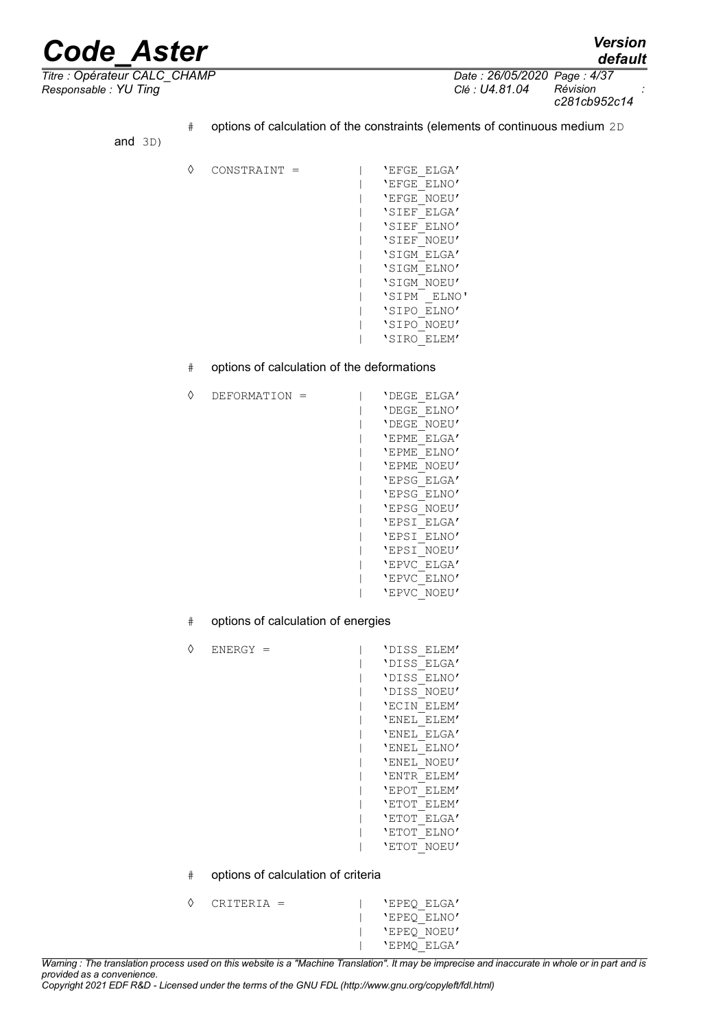*default*

*Responsable : YU Ting Clé : U4.81.04 Révision :*

*Titre : Opérateur CALC\_CHAMP Date : 26/05/2020 Page : 4/37 c281cb952c14*

> # options of calculation of the constraints (elements of continuous medium 2D and 3D) ◊ CONSTRAINT = | 'EFGE\_ELGA' | 'EFGE\_ELNO' | 'EFGE\_NOEU' | 'SIEF\_ELGA' | 'SIEF\_ELNO' | 'SIEF\_NOEU' | 'SIGM\_ELGA' | 'SIGM\_ELNO' | 'SIGM\_NOEU' | 'SIPM \_ELNO' | 'SIPO\_ELNO' | 'SIPO\_NOEU' | 'SIRO\_ELEM' # options of calculation of the deformations ◊ DEFORMATION = | 'DEGE\_ELGA' | 'DEGE\_ELNO' | 'DEGE\_NOEU' | 'EPME\_ELGA' | 'EPME\_ELNO' | 'EPME\_NOEU' | 'EPSG\_ELGA' | 'EPSG\_ELNO' | 'EPSG\_NOEU' | 'EPSI\_ELGA' | 'EPSI\_ELNO' | 'EPSI\_NOEU' | 'EPVC\_ELGA' | 'EPVC\_ELNO' | 'EPVC\_NOEU' # options of calculation of energies ◊ ENERGY = | 'DISS\_ELEM' | 'DISS\_ELGA' | 'DISS\_ELNO' | 'DISS\_NOEU'

- | 'ECIN\_ELEM' | 'ENEL\_ELEM' | 'ENEL\_ELGA' | 'ENEL\_ELNO' | 'ENEL\_NOEU' | 'ENTR\_ELEM' | 'EPOT\_ELEM' | 'ETOT\_ELEM' | 'ETOT\_ELGA' | 'ETOT\_ELNO' | 'ETOT\_NOEU'
- # options of calculation of criteria

◊ CRITERIA = | 'EPEQ\_ELGA' | 'EPEQ\_ELNO' | 'EPEQ\_NOEU' | 'EPMQ\_ELGA'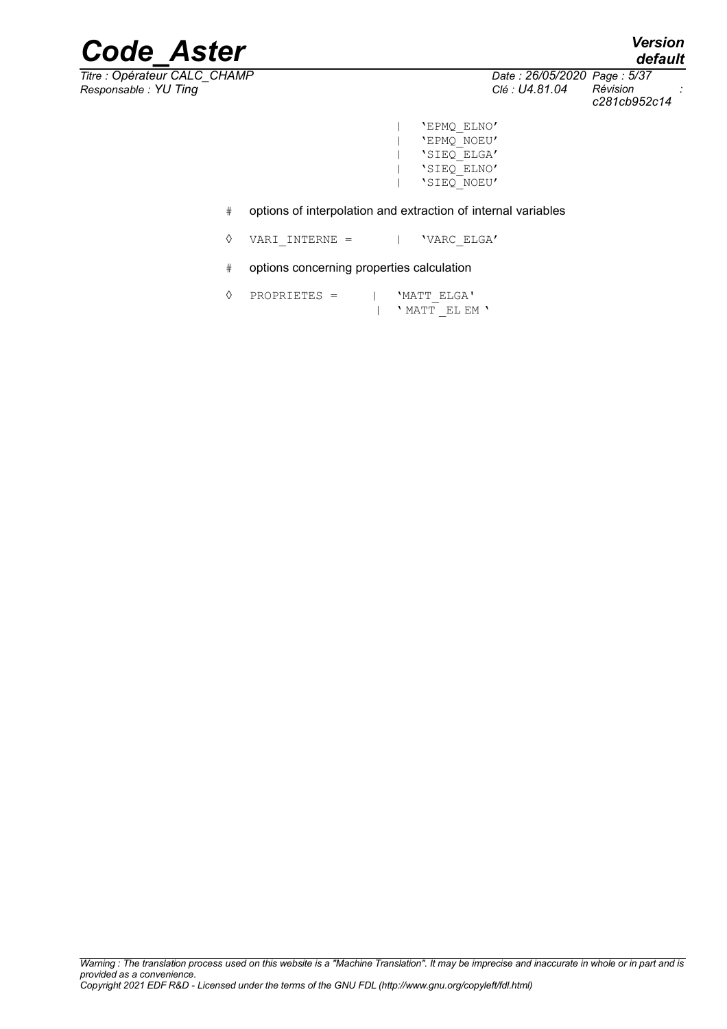*Titre : Opérateur CALC\_CHAMP Date : 26/05/2020 Page : 5/37 Responsable : YU Ting Clé : U4.81.04 Révision :*

*c281cb952c14*

- | 'EPMQ\_ELNO' | 'EPMQ\_NOEU' | 'SIEQ\_ELGA' | 'SIEQ\_ELNO' | 'SIEQ\_NOEU'
- # options of interpolation and extraction of internal variables
- ◊ VARI\_INTERNE = | 'VARC\_ELGA'
- # options concerning properties calculation
- ◊ PROPRIETES = | 'MATT\_ELGA' | ' MATT \_EL EM '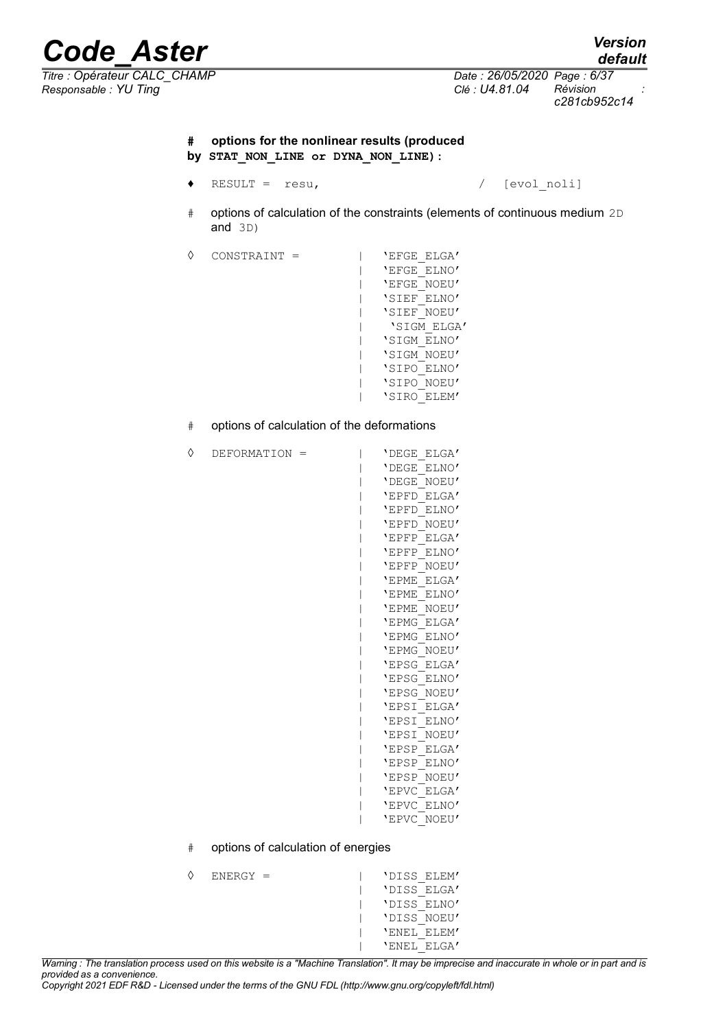*Responsable : YU Ting Clé : U4.81.04 Révision :*

### **# options for the nonlinear results (produced by STAT\_NON\_LINE or DYNA\_NON\_LINE):**

- ♦ RESULT = resu, / [evol\_noli]
- # options of calculation of the constraints (elements of continuous medium 2D and 3D)
- ◊ CONSTRAINT = | 'EFGE\_ELGA'

◊ DEFORMATION = | 'DEGE\_ELGA'

- | 'EFGE\_ELNO' | 'EFGE\_NOEU' | 'SIEF\_ELNO' | 'SIEF\_NOEU' | 'SIGM\_ELGA' | 'SIGM\_ELNO' | 'SIGM\_NOEU' | 'SIPO\_ELNO' | 'SIPO\_NOEU' | 'SIRO\_ELEM'
- # options of calculation of the deformations

| 'DEGE<br>ELGA' |
|----------------|
| 'DEGE<br>ELNO' |
| 'DEGE<br>NOEU' |
| 'EPFD<br>ELGA' |
| 'EPFD<br>ELNO' |
| 'EPFD<br>NOEU' |
| 'EPFP<br>ELGA' |
| 'EPFP<br>ELNO' |
| 'EPFP<br>NOEU' |
| 'EPME<br>ELGA' |
| 'EPME<br>ELNO' |
| 'EPME<br>NOEU' |
| 'EPMG<br>ELGA' |
| 'EPMG<br>ELNO' |
| 'EPMG<br>NOEU' |
| 'EPSG<br>ELGA' |
| 'EPSG<br>ELNO' |
| 'EPSG<br>NOEU' |
| 'EPSI<br>ELGA' |
| 'EPSI<br>ELNO' |
| 'EPSI<br>NOEU' |
| 'EPSP<br>ELGA' |
| 'EPSP<br>ELNO' |
| 'EPSP<br>NOEU' |
| 'EPVC<br>ELGA' |
| 'EPVC<br>ELNO' |
| 'EPVC<br>NOEU' |
|                |

# options of calculation of energies

| ♦ | $ENERGY =$ |  | 'DISS ELEM' |
|---|------------|--|-------------|
|   |            |  | 'DISS ELGA' |
|   |            |  | 'DISS ELNO' |
|   |            |  | 'DISS NOEU' |
|   |            |  | 'ENEL ELEM' |
|   |            |  | 'ENEL ELGA' |

*Copyright 2021 EDF R&D - Licensed under the terms of the GNU FDL (http://www.gnu.org/copyleft/fdl.html)*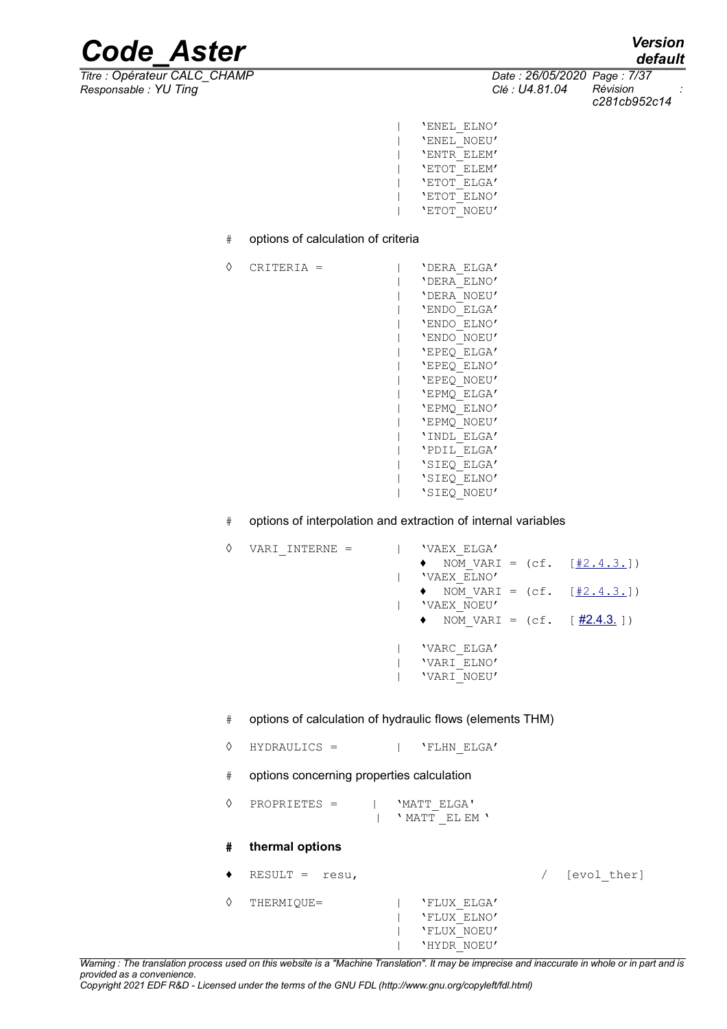*Titre : Opérateur CALC\_CHAMP Date : 26/05/2020 Page : 7/37 Responsable : YU Ting Clé : U4.81.04 Révision :*

*c281cb952c14*

- | 'ENEL\_ELNO' | 'ENEL\_NOEU' | 'ENTR\_ELEM' | 'ETOT\_ELEM' | 'ETOT\_ELGA' | 'ETOT\_ELNO' | 'ETOT\_NOEU'
- # options of calculation of criteria

| ♦ | CRITERIA = |  | 'DERA ELGA' |
|---|------------|--|-------------|
|   |            |  | 'DERA ELNO' |
|   |            |  | 'DERA NOEU' |
|   |            |  | 'ENDO ELGA' |
|   |            |  | 'ENDO ELNO' |
|   |            |  | 'ENDO NOEU' |
|   |            |  | 'EPEO ELGA' |
|   |            |  | 'EPEO ELNO' |
|   |            |  | 'EPEQ NOEU' |
|   |            |  | 'EPMQ ELGA' |
|   |            |  | 'EPMO ELNO' |
|   |            |  | 'EPMO NOEU' |
|   |            |  | 'INDL ELGA' |
|   |            |  | 'PDIL ELGA' |
|   |            |  | 'SIEQ ELGA' |
|   |            |  | 'SIEQ ELNO' |
|   |            |  | 'SIEQ NOEU' |
|   |            |  |             |

<span id="page-6-2"></span># options of interpolation and extraction of internal variables

<span id="page-6-1"></span><span id="page-6-0"></span>

| VARI INTERNE = |  | 'VAEX ELGA'<br>• NOM VARI = $(cf. [#2.4.3.])$<br>'VAEX ELNO'<br>• NOM VARI = $(cf. [#2.4.3.])$<br>'VAEX NOEU'<br>• NOM VARI = $(cf. [ #2.4.3.])$ |  |
|----------------|--|--------------------------------------------------------------------------------------------------------------------------------------------------|--|
|                |  | 'VARC ELGA'<br>'VARI ELNO'<br>'VARI NOEU'                                                                                                        |  |

- # options of calculation of hydraulic flows (elements THM)
- ◊ HYDRAULICS = | 'FLHN\_ELGA'
- # options concerning properties calculation
- ◊ PROPRIETES = | 'MATT\_ELGA' | ' MATT \_EL EM '

### **# thermal options**

♦ RESULT = resu, / [evol\_ther] ◊ THERMIQUE= | 'FLUX\_ELGA' | 'FLUX\_ELNO' | 'FLUX\_NOEU' | 'HYDR\_NOEU'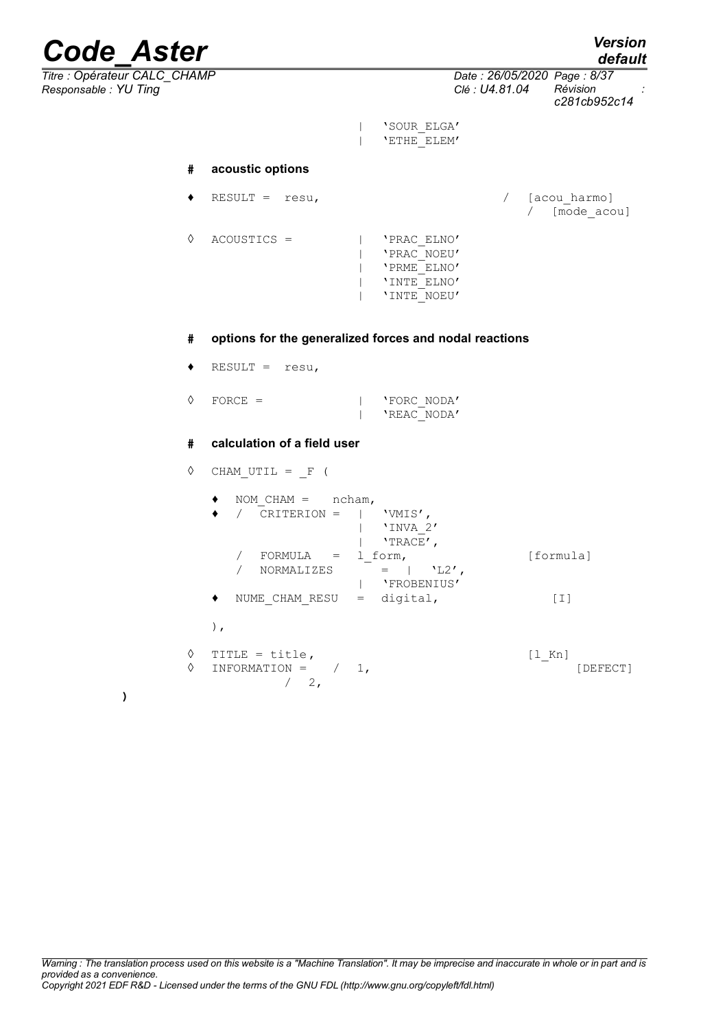*default*

|                              | .                                          |  |
|------------------------------|--------------------------------------------|--|
| Titre : Opérateur CALC CHAMP | Date: 26/05/2020 Page: 8/37                |  |
| Responsable: YU Ting         | Révision<br>Clé : U4.81.04<br>c281cb952c14 |  |

| 'SOUR\_ELGA' | 'ETHE\_ELEM'

### **# acoustic options**

|   | RESULT = $resu,$ |  |                                                                         | [acou harmo]<br>[mode acou] |
|---|------------------|--|-------------------------------------------------------------------------|-----------------------------|
| ♦ | $ACOUSTICS =$    |  | 'PRAC ELNO'<br>'PRAC NOEU'<br>'PRME ELNO'<br>'INTE ELNO'<br>'INTE NOEU' |                             |

### **# options for the generalized forces and nodal reactions**

- ♦ RESULT = resu,
- ◊ FORCE = | 'FORC\_NODA' | 'REAC\_NODA'

### **# calculation of a field user**

 $\Diamond$  CHAM\_UTIL =  $_F$  (

| ncham,<br>$NOM CHAM =$<br>CRITERION =           | 'VMIS',<br>'INVA 2'<br>'TRACE',           |                             |
|-------------------------------------------------|-------------------------------------------|-----------------------------|
| $FORMULA =$<br><b>NORMALIZES</b>                | 1 form,<br>$'L2'$ ,<br>$=$<br>'FROBENIUS' | [formula]                   |
| NUME CHAM RESU<br>٠<br>Ι,                       | digital,<br>$=$                           | [I]                         |
| ♦<br>TITLE = title,<br>♦<br>INFORMATION =<br>2, | 1,                                        | $[1 \space Kn]$<br>[DEFECT] |

**)**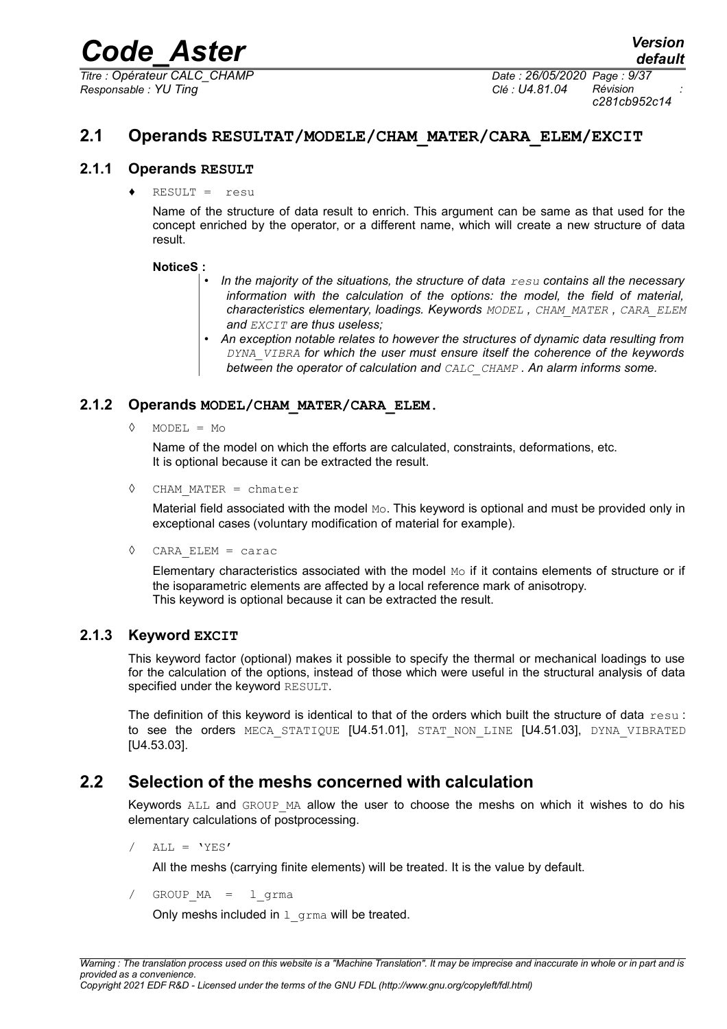*Titre : Opérateur CALC\_CHAMP Date : 26/05/2020 Page : 9/37 Responsable : YU Ting Clé : U4.81.04 Révision :*

*c281cb952c14*

### <span id="page-8-4"></span>**2.1 Operands RESULTAT/MODELE/CHAM\_MATER/CARA\_ELEM/EXCIT**

### **2.1.1 Operands RESULT**

<span id="page-8-3"></span> $RESULT = \text{resu}$ 

Name of the structure of data result to enrich. This argument can be same as that used for the concept enriched by the operator, or a different name, which will create a new structure of data result.

### **NoticeS :**

- *In the majority of the situations, the structure of data resu contains all the necessary information with the calculation of the options: the model, the field of material, characteristics elementary, loadings. Keywords MODEL , CHAM\_MATER , CARA\_ELEM and EXCIT are thus useless;*
- *An exception notable relates to however the structures of dynamic data resulting from DYNA\_VIBRA for which the user must ensure itself the coherence of the keywords between the operator of calculation and CALC\_CHAMP . An alarm informs some.*

### **2.1.2 Operands MODEL/CHAM\_MATER/CARA\_ELEM.**

<span id="page-8-2"></span> $MODEL = MO$ 

Name of the model on which the efforts are calculated, constraints, deformations, etc. It is optional because it can be extracted the result.

◊ CHAM\_MATER = chmater

Material field associated with the model Mo. This keyword is optional and must be provided only in exceptional cases (voluntary modification of material for example).

◊ CARA\_ELEM = carac

Elementary characteristics associated with the model  $_{\text{Mo}}$  if it contains elements of structure or if the isoparametric elements are affected by a local reference mark of anisotropy. This keyword is optional because it can be extracted the result.

### **2.1.3 Keyword EXCIT**

<span id="page-8-1"></span>This keyword factor (optional) makes it possible to specify the thermal or mechanical loadings to use for the calculation of the options, instead of those which were useful in the structural analysis of data specified under the keyword RESULT.

The definition of this keyword is identical to that of the orders which built the structure of data resu : to see the orders MECA STATIOUE [U4.51.01], STAT NON LINE [U4.51.03], DYNA VIBRATED [U4.53.03].

### **2.2 Selection of the meshs concerned with calculation**

<span id="page-8-0"></span>Keywords ALL and GROUP MA allow the user to choose the meshs on which it wishes to do his elementary calculations of postprocessing.

 $/$  ALL = 'YES'

All the meshs (carrying finite elements) will be treated. It is the value by default.

GROUP  $MA = 1$  grma

Only meshs included in  $1$  grma will be treated.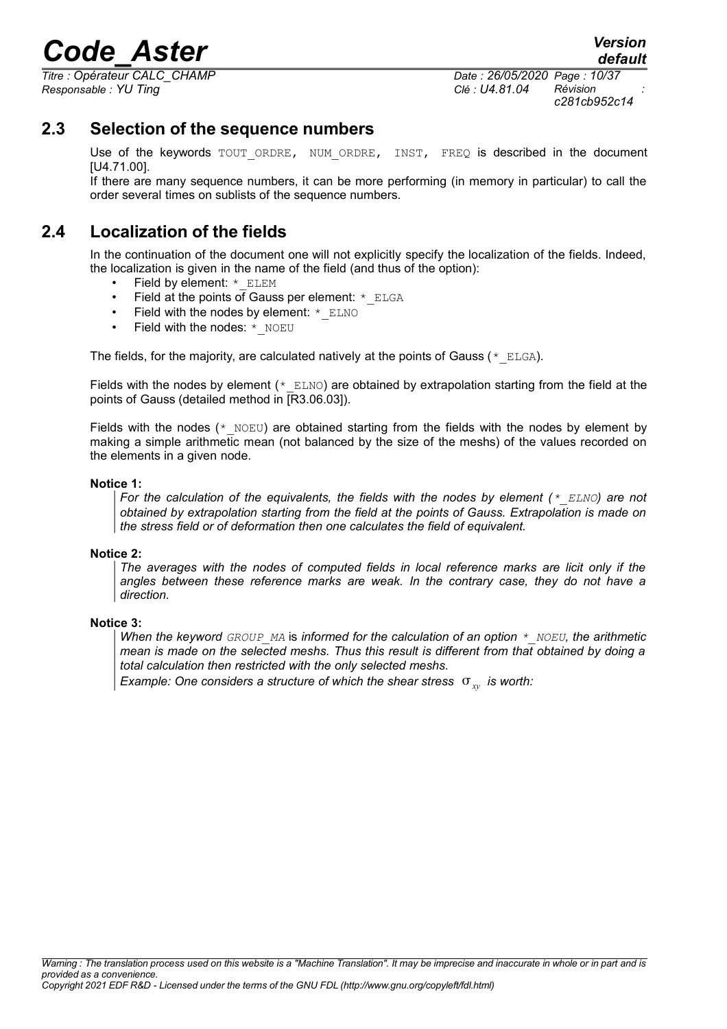*Titre : Opérateur CALC\_CHAMP Date : 26/05/2020 Page : 10/37 Responsable : YU Ting Clé : U4.81.04 Révision :*

*default*

*c281cb952c14*

### **2.3 Selection of the sequence numbers**

<span id="page-9-1"></span>Use of the keywords TOUT ORDRE, NUM ORDRE, INST, FREQ is described in the document [U4.71.00].

If there are many sequence numbers, it can be more performing (in memory in particular) to call the order several times on sublists of the sequence numbers.

### **2.4 Localization of the fields**

<span id="page-9-0"></span>In the continuation of the document one will not explicitly specify the localization of the fields. Indeed, the localization is given in the name of the field (and thus of the option):

- Field by element: \* ELEM
- Field at the points of Gauss per element: \* ELGA
- Field with the nodes by element:  $*$  ELNO
- Field with the nodes: \* NOEU

The fields, for the majority, are calculated natively at the points of Gauss ( $*$  ELGA).

Fields with the nodes by element ( $*$  ELNO) are obtained by extrapolation starting from the field at the points of Gauss (detailed method in [R3.06.03]).

Fields with the nodes ( $*$  NOEU) are obtained starting from the fields with the nodes by element by making a simple arithmetic mean (not balanced by the size of the meshs) of the values recorded on the elements in a given node.

#### **Notice 1:**

*For the calculation of the equivalents, the fields with the nodes by element (\*\_ELNO) are not obtained by extrapolation starting from the field at the points of Gauss. Extrapolation is made on the stress field or of deformation then one calculates the field of equivalent.*

#### **Notice 2:**

*The averages with the nodes of computed fields in local reference marks are licit only if the angles between these reference marks are weak. In the contrary case, they do not have a direction.*

### **Notice 3:**

*When the keyword GROUP\_MA* is *informed for the calculation of an option \*\_NOEU, the arithmetic mean is made on the selected meshs. Thus this result is different from that obtained by doing a total calculation then restricted with the only selected meshs.*

*Example: One considers a structure of which the shear stress*  $\sigma_{xy}$  *is worth:*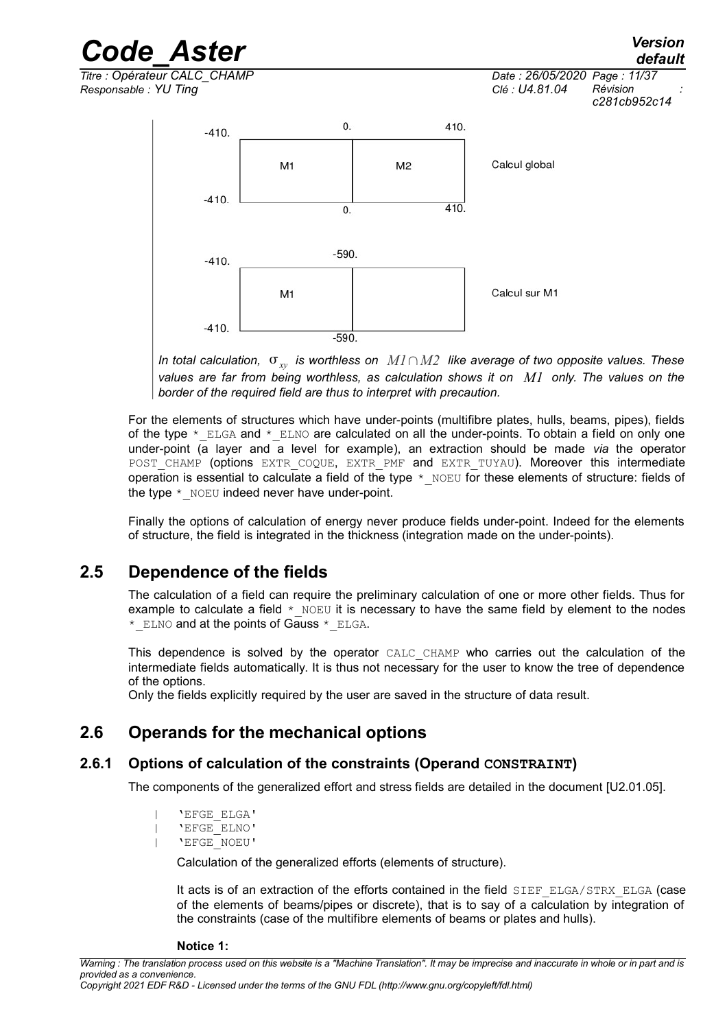

*In total calculation, xy is worthless on M1*∩*M2 like average of two opposite values. These values are far from being worthless, as calculation shows it on M1 only. The values on the border of the required field are thus to interpret with precaution.*

For the elements of structures which have under-points (multifibre plates, hulls, beams, pipes), fields of the type  $*$  ELGA and  $*$  ELNO are calculated on all the under-points. To obtain a field on only one under-point (a layer and a level for example), an extraction should be made *via* the operator POST CHAMP (options EXTR COQUE, EXTR PMF and EXTR TUYAU). Moreover this intermediate operation is essential to calculate a field of the type  $*$  NOEU for these elements of structure: fields of the type  $*$  NOEU indeed never have under-point.

Finally the options of calculation of energy never produce fields under-point. Indeed for the elements of structure, the field is integrated in the thickness (integration made on the under-points).

### **2.5 Dependence of the fields**

<span id="page-10-2"></span>The calculation of a field can require the preliminary calculation of one or more other fields. Thus for example to calculate a field  $*$  NOEU it is necessary to have the same field by element to the nodes \* ELNO and at the points of Gauss \* ELGA.

This dependence is solved by the operator CALC\_CHAMP who carries out the calculation of the intermediate fields automatically. It is thus not necessary for the user to know the tree of dependence of the options.

<span id="page-10-1"></span>Only the fields explicitly required by the user are saved in the structure of data result.

### **2.6 Operands for the mechanical options**

### **2.6.1 Options of calculation of the constraints (Operand CONSTRAINT)**

<span id="page-10-0"></span>The components of the generalized effort and stress fields are detailed in the document [U2.01.05].

```
| 'EFGE_ELGA'
| 'EFGE_ELNO'
| 'EFGE_NOEU'
```
Calculation of the generalized efforts (elements of structure).

It acts is of an extraction of the efforts contained in the field SIEF ELGA/STRX ELGA (case of the elements of beams/pipes or discrete), that is to say of a calculation by integration of the constraints (case of the multifibre elements of beams or plates and hulls).

**Notice 1:**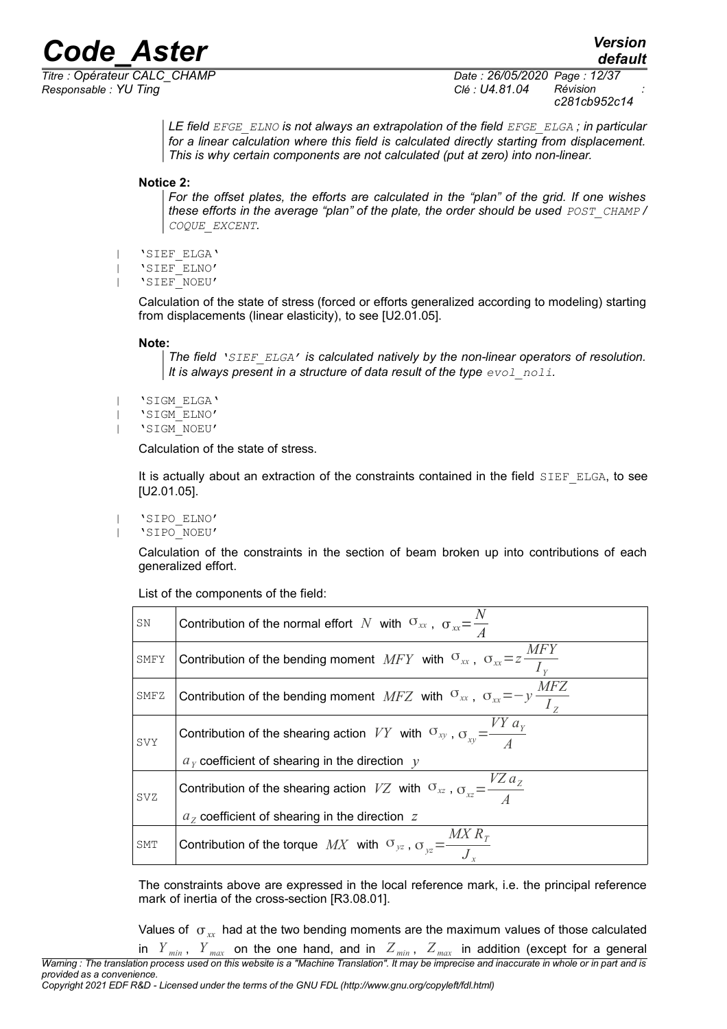*Responsable : YU Ting Clé : U4.81.04 Révision :*

*Titre : Opérateur CALC\_CHAMP Date : 26/05/2020 Page : 12/37 c281cb952c14*

> *LE field EFGE\_ELNO is not always an extrapolation of the field EFGE\_ELGA ; in particular for a linear calculation where this field is calculated directly starting from displacement. This is why certain components are not calculated (put at zero) into non-linear.*

**Notice 2:**

*For the offset plates, the efforts are calculated in the "plan" of the grid. If one wishes these efforts in the average "plan" of the plate, the order should be used POST CHAMP* / *COQUE\_EXCENT.*

- | 'SIEF\_ELGA'
- | 'SIEF\_ELNO'
- | 'SIEF\_NOEU'

Calculation of the state of stress (forced or efforts generalized according to modeling) starting from displacements (linear elasticity), to see [U2.01.05].

#### **Note:**

```
The field 'SIEF_ELGA' is calculated natively by the non-linear operators of resolution.
It is always present in a structure of data result of the type evol noli.
```

```
| 'SIGM_ELGA'
```

```
| 'SIGM_ELNO'
```
| 'SIGM\_NOEU'

Calculation of the state of stress.

It is actually about an extraction of the constraints contained in the field SIEF\_ELGA, to see [U2.01.05].

| 'SIPO\_ELNO'

| 'SIPO\_NOEU'

Calculation of the constraints in the section of beam broken up into contributions of each generalized effort.

List of the components of the field:

| SΝ   | Contribution of the normal effort N with $\sigma_{xx}$ , $\sigma_{xx} = \frac{1}{4}$                                   |
|------|------------------------------------------------------------------------------------------------------------------------|
| SMFY | <i>MFY</i><br>Contribution of the bending moment $MFY$ with $\sigma_{xx}$ , $\sigma_{xx} = z \frac{m\sigma_{xx}}{I_y}$ |
| SMFZ | <i>MFZ</i><br>Contribution of the bending moment MFZ with $\sigma_{xx}$ , $\sigma_{xx} = -y \frac{dx}{I_z}$            |
| SVY  | Contribution of the shearing action VY with $\sigma_{xy}$ , $\sigma_{xy} = \frac{VY a_y}{4}$                           |
|      | $a_y$ coefficient of shearing in the direction $y$                                                                     |
| SVZ  | Contribution of the shearing action VZ with $\sigma_{xz}$ , $\sigma_{xz} = \frac{VZ a_z}{4}$                           |
|      | $az$ coefficient of shearing in the direction $z$                                                                      |
| SMT  | Contribution of the torque $MX$ with $\sigma_{yz}$ , $\sigma_{yz} = \frac{MX R_T}{J_x}$                                |

The constraints above are expressed in the local reference mark, i.e. the principal reference mark of inertia of the cross-section [R3.08.01].

Values of  $\sigma_{xx}$  had at the two bending moments are the maximum values of those calculated in  $Y_{min}$ ,  $Y_{max}$  on the one hand, and in  $Z_{min}$ ,  $Z_{max}$  in addition (except for a general *Warning : The translation process used on this website is a "Machine Translation". It may be imprecise and inaccurate in whole or in part and is provided as a convenience.*

*Copyright 2021 EDF R&D - Licensed under the terms of the GNU FDL (http://www.gnu.org/copyleft/fdl.html)*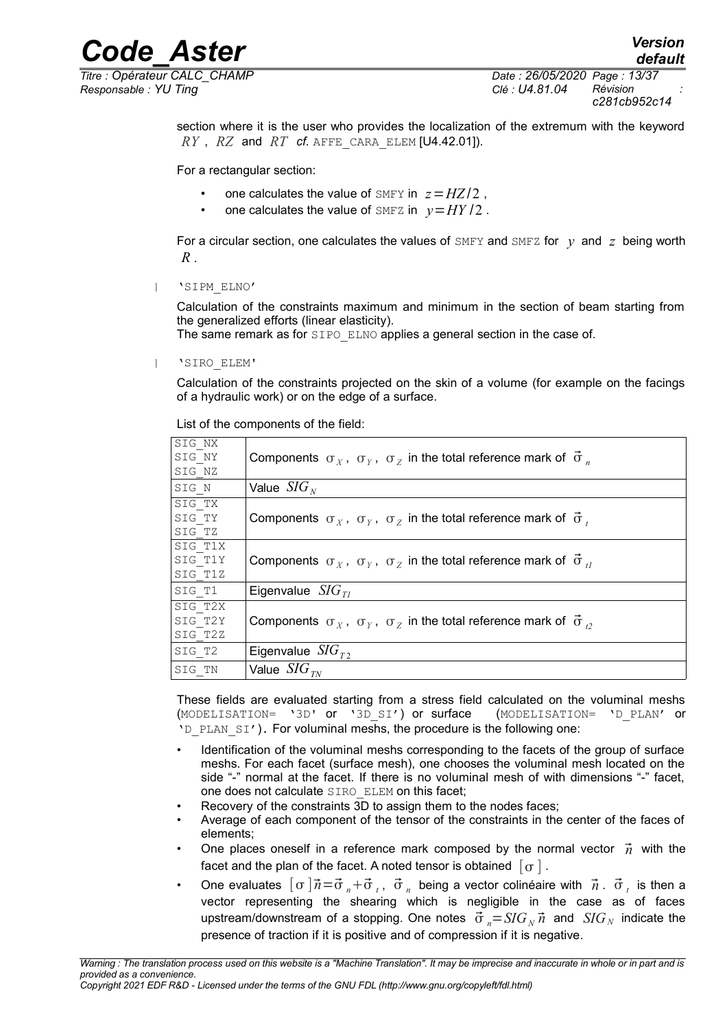*Responsable : YU Ting Clé : U4.81.04 Révision :*

*Titre : Opérateur CALC\_CHAMP Date : 26/05/2020 Page : 13/37 c281cb952c14*

*default*

section where it is the user who provides the localization of the extremum with the keyword  $RY$ ,  $RZ$  and  $RT$  *cf.* AFFE CARA ELEM [U4.42.01]).

For a rectangular section:

- one calculates the value of SMFY in  $z = HZ/2$ ,
- one calculates the value of SMFZ in  $v=HY/2$ .

For a circular section, one calculates the values of  $\text{SMFY}$  and  $\text{SMFZ}$  for *y* and *z* being worth *R* .

| 'SIPM\_ELNO'

Calculation of the constraints maximum and minimum in the section of beam starting from the generalized efforts (linear elasticity).

The same remark as for SIPO ELNO applies a general section in the case of.

| 'SIRO\_ELEM'

Calculation of the constraints projected on the skin of a volume (for example on the facings of a hydraulic work) or on the edge of a surface.

List of the components of the field:

| SIG NX  |                                                                                                    |
|---------|----------------------------------------------------------------------------------------------------|
| SIG NY  | Components $\sigma_X$ , $\sigma_Y$ , $\sigma_Z$ in the total reference mark of $\vec{\sigma}_n$    |
| SIG NZ  |                                                                                                    |
| SIG N   | Value $SIG_{N}$                                                                                    |
| SIG TX  |                                                                                                    |
| SIG TY  | Components $\sigma_X$ , $\sigma_Y$ , $\sigma_Z$ in the total reference mark of $\vec{\sigma}_t$    |
| SIG TZ  |                                                                                                    |
| SIG T1X |                                                                                                    |
| SIG T1Y | Components $\sigma_X$ , $\sigma_Y$ , $\sigma_Z$ in the total reference mark of $\vec{\sigma}_{tt}$ |
| SIG T1Z |                                                                                                    |
| SIG T1  | Eigenvalue $SIG_{TI}$                                                                              |
| SIG T2X |                                                                                                    |
| SIG T2Y | Components $\sigma_X$ , $\sigma_Y$ , $\sigma_Z$ in the total reference mark of $\vec{\sigma}_P$    |
| SIG T2Z |                                                                                                    |
| SIG T2  | Eigenvalue $SIG_T$                                                                                 |
| SIG TN  | Value $SIG_{TN}$                                                                                   |
|         |                                                                                                    |

These fields are evaluated starting from a stress field calculated on the voluminal meshs (MODELISATION= '3D' or '3D\_SI') or surface (MODELISATION= 'D\_PLAN' or 'D\_PLAN\_SI'). For voluminal meshs, the procedure is the following one:

- Identification of the voluminal meshs corresponding to the facets of the group of surface meshs. For each facet (surface mesh), one chooses the voluminal mesh located on the side "-" normal at the facet. If there is no voluminal mesh of with dimensions "-" facet, one does not calculate SIRO\_ELEM on this facet;
- Recovery of the constraints 3D to assign them to the nodes faces:
- Average of each component of the tensor of the constraints in the center of the faces of elements;
- One places oneself in a reference mark composed by the normal vector  $\vec{n}$  with the facet and the plan of the facet. A noted tensor is obtained  $\lceil \sigma \rceil$ .
- One evaluates  $[\,\sigma\,]\vec{n}$ = $\vec{\sigma}$   $_{n}$  +  $\vec{\sigma}$   $_{t}$  ,  $\,\vec{\sigma}$   $_{n}$  being a vector colinéaire with  $\,\vec{n}$  .  $\,\vec{\sigma}$   $_{t}$  is then a vector representing the shearing which is negligible in the case as of faces upstream/downstream of a stopping. One notes  $\vec{\sigma}_n = SIG_N \vec{n}$  and  $SIG_N$  indicate the presence of traction if it is positive and of compression if it is negative.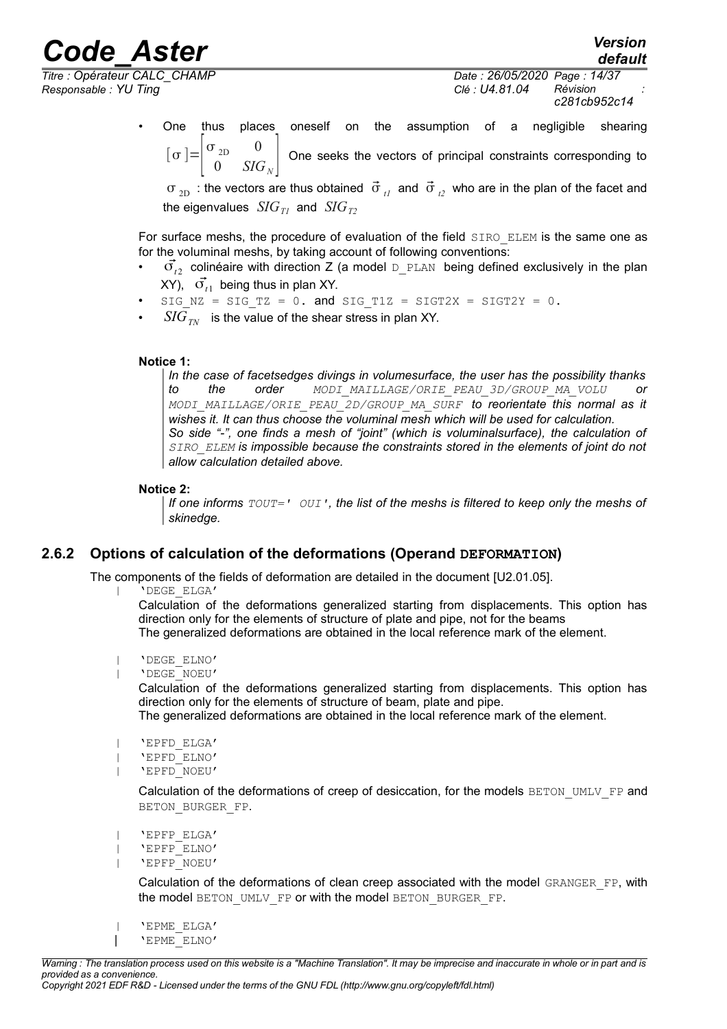*Responsable : YU Ting Clé : U4.81.04 Révision :*

*default*

*Titre : Opérateur CALC\_CHAMP Date : 26/05/2020 Page : 14/37 c281cb952c14*

> • One thus places oneself on the assumption of a negligible shearing  $\sigma = \begin{vmatrix} \sigma_{2D} & 0 \\ 0 & SIC \end{vmatrix}$  $0$  *SIG*<sub>N</sub> One seeks the vectors of principal constraints corresponding to

 $\sigma_{2D}$  : the vectors are thus obtained  $\vec{\sigma}_{1D}$  and  $\vec{\sigma}_{2D}$  who are in the plan of the facet and the eigenvalues  $SIG_{TI}$  and  $SIG_{T2}$ 

For surface meshs, the procedure of evaluation of the field SIRO ELEM is the same one as for the voluminal meshs, by taking account of following conventions:

- $\vec{\sigma}_{i2}$  colinéaire with direction Z (a model  $_D$ PLAN being defined exclusively in the plan XY),  $\vec{\sigma_{_{t1}}}$  being thus in plan XY.
- SIG  $NZ = SIG TZ = 0$ . and SIG  $T1Z = SIGT2X = SIGT2Y = 0$ .
- $\overline{SIG}_{\tau N}$  is the value of the shear stress in plan XY.

### **Notice 1:**

*In the case of facetsedges divings in volumesurface, the user has the possibility thanks to the order MODI\_MAILLAGE/ORIE\_PEAU\_3D/GROUP\_MA\_VOLU or MODI\_MAILLAGE/ORIE\_PEAU\_2D/GROUP\_MA\_SURF to reorientate this normal as it wishes it. It can thus choose the voluminal mesh which will be used for calculation. So side "-", one finds a mesh of "joint" (which is voluminalsurface), the calculation of SIRO\_ELEM is impossible because the constraints stored in the elements of joint do not allow calculation detailed above.*

### **Notice 2:**

*If one informs TOUT=' OUI', the list of the meshs is filtered to keep only the meshs of skinedge.*

### **2.6.2 Options of calculation of the deformations (Operand DEFORMATION)**

<span id="page-13-0"></span>The components of the fields of deformation are detailed in the document [U2.01.05].

| 'DEGE\_ELGA'

Calculation of the deformations generalized starting from displacements. This option has direction only for the elements of structure of plate and pipe, not for the beams The generalized deformations are obtained in the local reference mark of the element.

- | 'DEGE\_ELNO'
- | 'DEGE\_NOEU'

Calculation of the deformations generalized starting from displacements. This option has direction only for the elements of structure of beam, plate and pipe.

The generalized deformations are obtained in the local reference mark of the element.

| 'EPFD\_ELGA'

```
| 'EPFD_ELNO'
```
| 'EPFD\_NOEU'

Calculation of the deformations of creep of desiccation, for the models BETON\_UMLV\_FP and BETON\_BURGER\_FP.

```
| 'EPFP_ELGA'
```
- | 'EPFP\_ELNO'
- | 'EPFP\_NOEU'

Calculation of the deformations of clean creep associated with the model GRANGER FP, with the model BETON\_UMLV\_FP or with the model BETON\_BURGER\_FP.

| 'EPME\_ELGA'

```
| 'EPME_ELNO'
```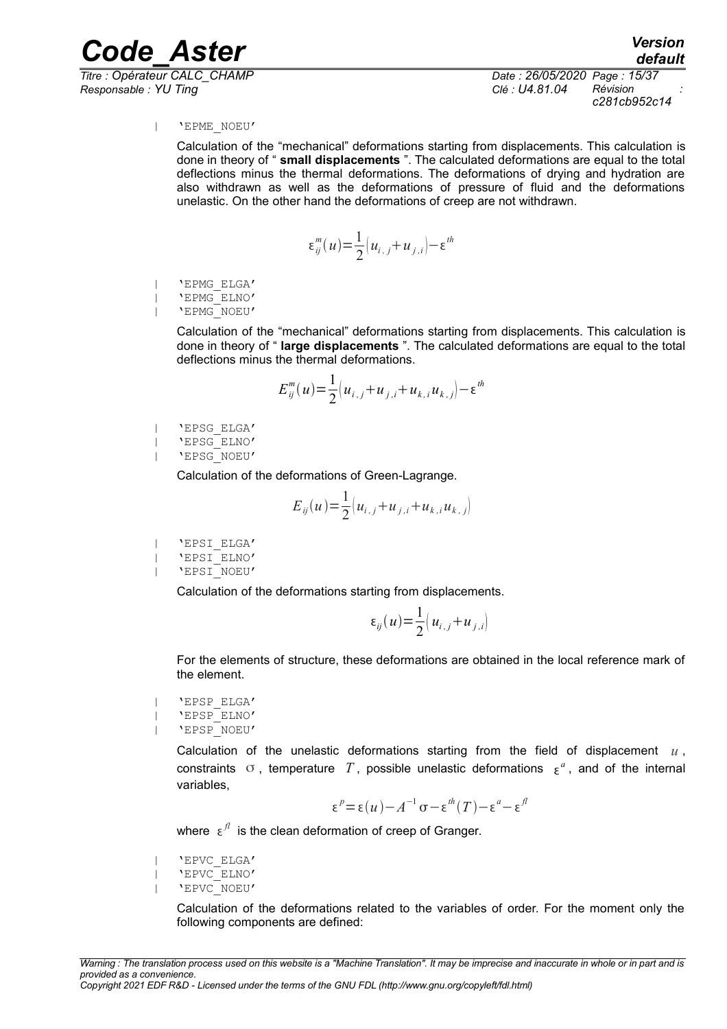*Responsable : YU Ting Clé : U4.81.04 Révision :*

*Titre : Opérateur CALC\_CHAMP Date : 26/05/2020 Page : 15/37 c281cb952c14*

#### | 'EPME\_NOEU'

Calculation of the "mechanical" deformations starting from displacements. This calculation is done in theory of " **small displacements** ". The calculated deformations are equal to the total deflections minus the thermal deformations. The deformations of drying and hydration are also withdrawn as well as the deformations of pressure of fluid and the deformations unelastic. On the other hand the deformations of creep are not withdrawn.

$$
\varepsilon_{ij}^m(u) = \frac{1}{2} \left[ u_{i,j} + u_{j,i} \right] - \varepsilon^{th}
$$

| 'EPMG\_ELGA'

| 'EPMG\_ELNO'

| 'EPMG\_NOEU'

Calculation of the "mechanical" deformations starting from displacements. This calculation is done in theory of " **large displacements** ". The calculated deformations are equal to the total deflections minus the thermal deformations.

$$
E_{ij}^{m}(u) = \frac{1}{2} \left( u_{i,j} + u_{j,i} + u_{k,i} u_{k,j} \right) - \varepsilon^{th}
$$

| 'EPSG\_ELGA'

| 'EPSG\_ELNO'

| 'EPSG\_NOEU'

Calculation of the deformations of Green-Lagrange.

$$
E_{ij}(u) = \frac{1}{2} \left( u_{i,j} + u_{j,i} + u_{k,i} u_{k,j} \right)
$$

| 'EPSI\_ELGA' | 'EPSI\_ELNO' | 'EPSI\_NOEU'

Calculation of the deformations starting from displacements.

$$
\varepsilon_{ij}(u) = \frac{1}{2} \left( u_{i,j} + u_{j,i} \right)
$$

For the elements of structure, these deformations are obtained in the local reference mark of the element.

| 'EPSP\_ELGA' | 'EPSP\_ELNO' | 'EPSP\_NOEU'

> Calculation of the unelastic deformations starting from the field of displacement *u* , constraints  $\sigma$ , temperature  $T$ , possible unelastic deformations  $\epsilon^a$ , and of the internal variables,

$$
\varepsilon^p = \varepsilon(u) - A^{-1} \sigma - \varepsilon^{th}(T) - \varepsilon^a - \varepsilon^{fl}
$$

where  $\epsilon^{\beta}$  is the clean deformation of creep of Granger.

| 'EPVC\_ELGA' | 'EPVC\_ELNO' | 'EPVC\_NOEU'

> Calculation of the deformations related to the variables of order. For the moment only the following components are defined: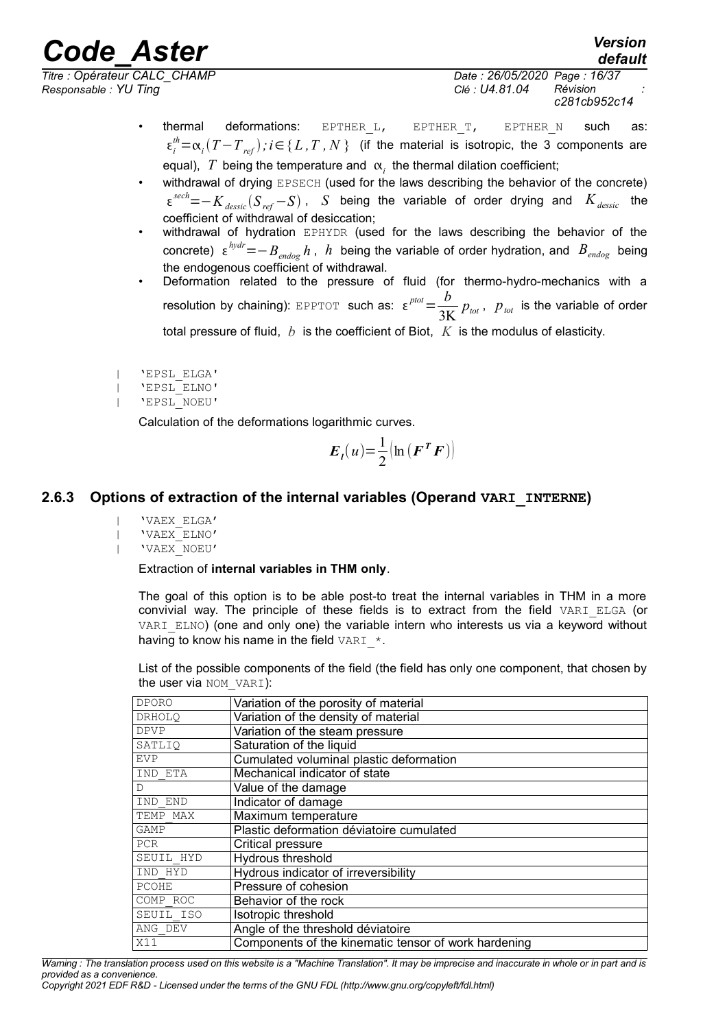*Responsable : YU Ting Clé : U4.81.04 Révision :*

*default Titre : Opérateur CALC\_CHAMP Date : 26/05/2020 Page : 16/37 c281cb952c14*

- thermal deformations: EPTHER<sub>L</sub>, EPTHER<sub>T</sub>, EPTHER<sub>N</sub> such as:  $\epsilon_i^{th} = \alpha_i (T - T_{ref})$ ;  $i \in \{L, T, N\}$  (if the material is isotropic, the 3 components are equal),  $\left| T \right|$  being the temperature and  $\left| \alpha \right|_{i}$  the thermal dilation coefficient;
- withdrawal of drying EPSECH (used for the laws describing the behavior of the concrete) *sech*=−*Kdessic S ref* −*S* , *S* being the variable of order drying and *Kdessic* the coefficient of withdrawal of desiccation;
- withdrawal of hydration EPHYDR (used for the laws describing the behavior of the concrete) *hydr*=−*Bendog h* , *h* being the variable of order hydration, and *Bendog* being the endogenous coefficient of withdrawal.
- Deformation related to the pressure of fluid (for thermo-hydro-mechanics with a **resolution by chaining):** EPPTOT **such as:**  $\epsilon^{pot} = \frac{b}{2\pi}$  $\frac{\partial}{\partial \mathbf{K}} p_{\text{\textit{tot}}}$  ,  $p_{\text{\textit{tot}}}$  is the variable of order total pressure of fluid, *b* is the coefficient of Biot, *K* is the modulus of elasticity.
- | 'EPSL\_ELGA'
- | 'EPSL\_ELNO'
- | 'EPSL\_NOEU'

Calculation of the deformations logarithmic curves.

$$
E_{I}(u) = \frac{1}{2} \left[ \ln \left( \boldsymbol{F}^{T} \boldsymbol{F} \right) \right]
$$

### **2.6.3 Options of extraction of the internal variables (Operand VARI\_INTERNE)**

- <span id="page-15-0"></span>| 'VAEX\_ELGA'
- | 'VAEX\_ELNO'
- | 'VAEX\_NOEU'

### Extraction of **internal variables in THM only**.

The goal of this option is to be able post-to treat the internal variables in THM in a more convivial way. The principle of these fields is to extract from the field VARI\_ELGA (or VARI ELNO) (one and only one) the variable intern who interests us via a keyword without having to know his name in the field VARI  $*$ .

List of the possible components of the field (the field has only one component, that chosen by the user via NOM VARI):

| <b>DPORO</b>  | Variation of the porosity of material                |
|---------------|------------------------------------------------------|
| <b>DRHOLO</b> | Variation of the density of material                 |
| <b>DPVP</b>   | Variation of the steam pressure                      |
| SATLIO        | Saturation of the liquid                             |
| EVP           | Cumulated voluminal plastic deformation              |
| IND ETA       | Mechanical indicator of state                        |
| D             | Value of the damage                                  |
| IND END       | Indicator of damage                                  |
| TEMP MAX      | Maximum temperature                                  |
| GAMP          | Plastic deformation déviatoire cumulated             |
| <b>PCR</b>    | Critical pressure                                    |
| SEUIL HYD     | Hydrous threshold                                    |
| IND HYD       | Hydrous indicator of irreversibility                 |
| PCOHE         | Pressure of cohesion                                 |
| COMP ROC      | Behavior of the rock                                 |
| SEUIL ISO     | Isotropic threshold                                  |
| ANG DEV       | Angle of the threshold déviatoire                    |
| X11           | Components of the kinematic tensor of work hardening |

*Warning : The translation process used on this website is a "Machine Translation". It may be imprecise and inaccurate in whole or in part and is provided as a convenience.*

*Copyright 2021 EDF R&D - Licensed under the terms of the GNU FDL (http://www.gnu.org/copyleft/fdl.html)*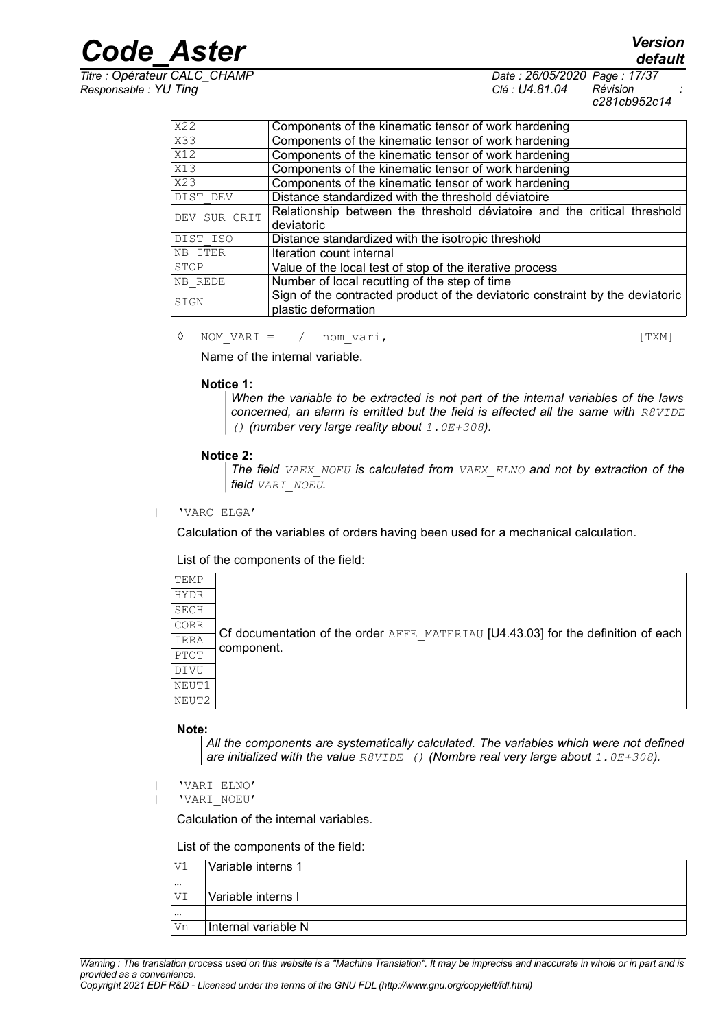*Titre : Opérateur CALC\_CHAMP Date : 26/05/2020 Page : 17/37 Responsable : YU Ting Clé : U4.81.04 Révision :*

*c281cb952c14*

| X22              | Components of the kinematic tensor of work hardening                          |
|------------------|-------------------------------------------------------------------------------|
| X33              | Components of the kinematic tensor of work hardening                          |
| $\overline{X12}$ | Components of the kinematic tensor of work hardening                          |
| X13              | Components of the kinematic tensor of work hardening                          |
| $\overline{X23}$ | Components of the kinematic tensor of work hardening                          |
| DIST DEV         | Distance standardized with the threshold déviatoire                           |
| DEV SUR CRIT     | Relationship between the threshold déviatoire and the critical threshold      |
|                  | deviatoric                                                                    |
| DIST ISO         | Distance standardized with the isotropic threshold                            |
| NB ITER          | Iteration count internal                                                      |
| STOP             | Value of the local test of stop of the iterative process                      |
| NB REDE          | Number of local recutting of the step of time                                 |
| SIGN             | Sign of the contracted product of the deviatoric constraint by the deviatoric |
|                  | plastic deformation                                                           |

◊ NOM\_VARI = / nom\_vari, [TXM]

Name of the internal variable.

#### **Notice 1:**

*When the variable to be extracted is not part of the internal variables of the laws concerned, an alarm is emitted but the field is affected all the same with R8VIDE () (number very large reality about 1.0E+308).*

#### **Notice 2:**

*The field VAEX\_NOEU is calculated from VAEX\_ELNO and not by extraction of the field VARI\_NOEU.*

| 'VARC\_ELGA'

Calculation of the variables of orders having been used for a mechanical calculation.

List of the components of the field:

| TEMP  |                                                                                   |
|-------|-----------------------------------------------------------------------------------|
| HYDR  |                                                                                   |
| SECH  |                                                                                   |
| CORR  |                                                                                   |
| IRRA  | Cf documentation of the order AFFE MATERIAU [U4.43.03] for the definition of each |
| PTOT  | component.                                                                        |
| DIVU  |                                                                                   |
| NEUT1 |                                                                                   |
| NEUT2 |                                                                                   |
|       |                                                                                   |

#### **Note:**

*All the components are systematically calculated. The variables which were not defined are initialized with the value R8VIDE () (Nombre real very large about 1.0E+308).*

| 'VARI\_ELNO' | 'VARI\_NOEU'

Calculation of the internal variables.

List of the components of the field:

| V1       | Variable interns 1  |
|----------|---------------------|
| $\cdots$ |                     |
| VI       | Variable interns I  |
| $\cdots$ |                     |
| Vn       | Internal variable N |
|          |                     |

*Warning : The translation process used on this website is a "Machine Translation". It may be imprecise and inaccurate in whole or in part and is provided as a convenience.*

*Copyright 2021 EDF R&D - Licensed under the terms of the GNU FDL (http://www.gnu.org/copyleft/fdl.html)*

*default*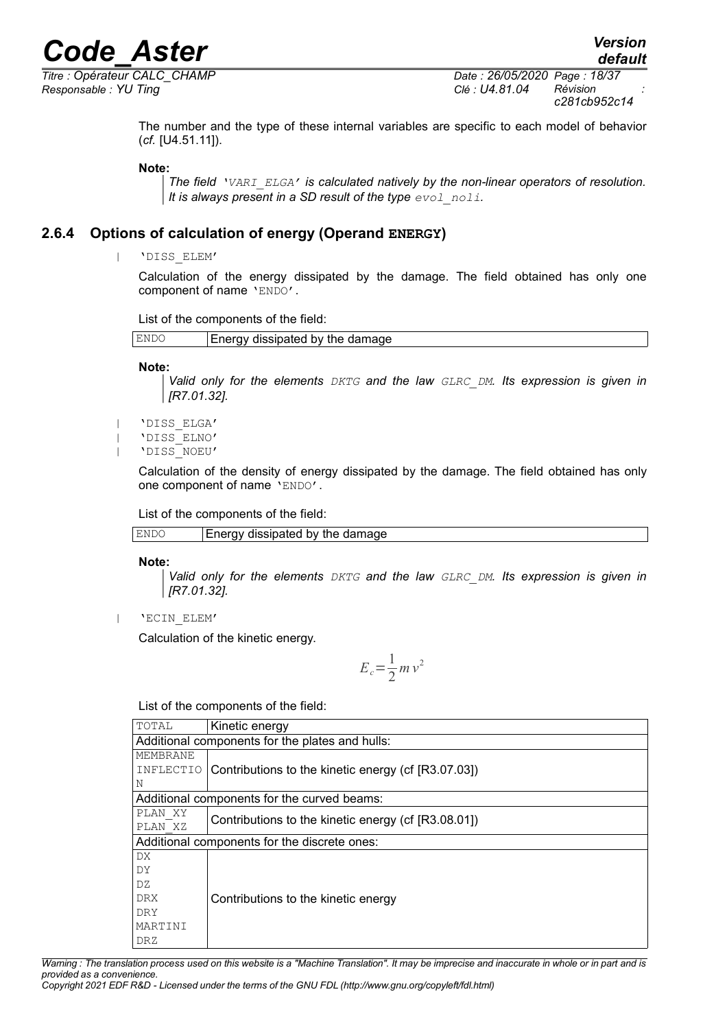*Titre : Opérateur CALC\_CHAMP Date : 26/05/2020 Page : 18/37 Responsable : YU Ting Clé : U4.81.04 Révision :*

*c281cb952c14*

The number and the type of these internal variables are specific to each model of behavior (*cf.* [U4.51.11]).

**Note:**

*The field 'VARI\_ELGA' is calculated natively by the non-linear operators of resolution. It is always present in a SD result of the type*  $e$ *vol noli*.

### **2.6.4 Options of calculation of energy (Operand ENERGY)**

<span id="page-17-0"></span>| 'DISS\_ELEM'

Calculation of the energy dissipated by the damage. The field obtained has only one component of name 'ENDO'.

List of the components of the field:

```
\mathbb{E}NDO Energy dissipated by the damage
```
**Note:**

*Valid only for the elements DKTG and the law GLRC\_DM. Its expression is given in [R7.01.32].*

| 'DISS\_ELGA'

- | 'DISS\_ELNO'
- | 'DISS\_NOEU'

Calculation of the density of energy dissipated by the damage. The field obtained has only one component of name 'ENDO'.

List of the components of the field:

| ENI | dissipated by the<br>e damage<br>$-2 - 2 - 2 - 1$<br>∠ner∈ |
|-----|------------------------------------------------------------|
|-----|------------------------------------------------------------|

**Note:**

*Valid only for the elements DKTG and the law GLRC\_DM. Its expression is given in [R7.01.32].*

| 'ECIN\_ELEM'

Calculation of the kinetic energy.

$$
E_c = \frac{1}{2} m v^2
$$

List of the components of the field:

| TOTAL                                           | Kinetic energy                                      |  |
|-------------------------------------------------|-----------------------------------------------------|--|
| Additional components for the plates and hulls: |                                                     |  |
| MEMBRANE                                        |                                                     |  |
| INFLECTIO                                       | Contributions to the kinetic energy (cf [R3.07.03]) |  |
| Ν                                               |                                                     |  |
| Additional components for the curved beams:     |                                                     |  |
| PLAN XY                                         |                                                     |  |
| PLAN XZ                                         | Contributions to the kinetic energy (cf [R3.08.01]) |  |
| Additional components for the discrete ones:    |                                                     |  |
| DX.                                             |                                                     |  |
| DY                                              |                                                     |  |
| DZ                                              |                                                     |  |
| <b>DRX</b>                                      | Contributions to the kinetic energy                 |  |
| DRY                                             |                                                     |  |
| MARTINI                                         |                                                     |  |
| DRZ                                             |                                                     |  |

*Warning : The translation process used on this website is a "Machine Translation". It may be imprecise and inaccurate in whole or in part and is provided as a convenience.*

*Copyright 2021 EDF R&D - Licensed under the terms of the GNU FDL (http://www.gnu.org/copyleft/fdl.html)*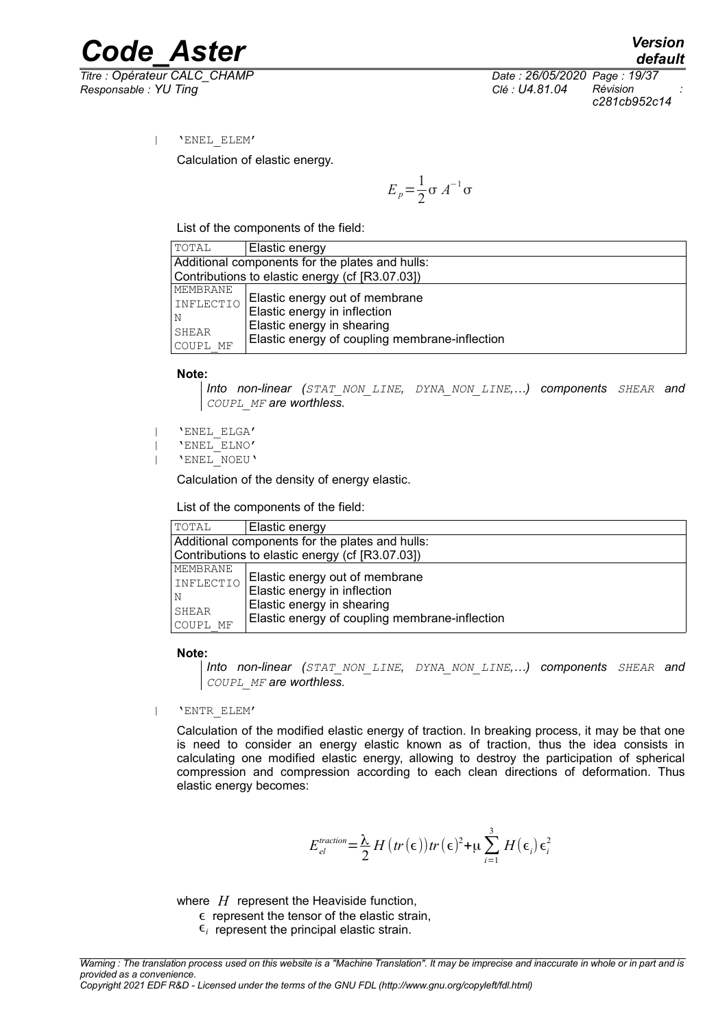*Titre : Opérateur CALC\_CHAMP Date : 26/05/2020 Page : 19/37 Responsable : YU Ting Clé : U4.81.04 Révision :*

*default c281cb952c14*

| 'ENEL\_ELEM'

Calculation of elastic energy.

 $E_p = \frac{1}{2}$  $rac{1}{2}$ σ  $A^{-1}$ σ

List of the components of the field:

| TOTAL                                           | Elastic energy                                  |  |
|-------------------------------------------------|-------------------------------------------------|--|
| Additional components for the plates and hulls: |                                                 |  |
|                                                 | Contributions to elastic energy (cf [R3.07.03]) |  |
| MEMBRANE                                        |                                                 |  |
| INFLECTIO                                       | Elastic energy out of membrane                  |  |
| N                                               | Elastic energy in inflection                    |  |
| SHEAR                                           | Elastic energy in shearing                      |  |
| COUPL MF                                        | Elastic energy of coupling membrane-inflection  |  |

**Note:**

*Into non-linear (STAT\_NON\_LINE, DYNA\_NON\_LINE,…) components SHEAR and COUPL\_MF are worthless.*

| 'ENEL\_ELGA'

| 'ENEL\_ELNO'

| 'ENEL\_NOEU'

Calculation of the density of energy elastic.

List of the components of the field:

| TOTAL                                           | Elastic energy                                 |  |
|-------------------------------------------------|------------------------------------------------|--|
| Additional components for the plates and hulls: |                                                |  |
| Contributions to elastic energy (cf [R3.07.03]) |                                                |  |
| MEMBRANE                                        |                                                |  |
| INFLECTIO                                       | Elastic energy out of membrane                 |  |
| N                                               | Elastic energy in inflection                   |  |
| SHEAR                                           | Elastic energy in shearing                     |  |
| COUPL MF                                        | Elastic energy of coupling membrane-inflection |  |

#### **Note:**

*Into non-linear (STAT\_NON\_LINE, DYNA\_NON\_LINE,…) components SHEAR and COUPL\_MF are worthless.*

| 'ENTR\_ELEM'

Calculation of the modified elastic energy of traction. In breaking process, it may be that one is need to consider an energy elastic known as of traction, thus the idea consists in calculating one modified elastic energy, allowing to destroy the participation of spherical compression and compression according to each clean directions of deformation. Thus elastic energy becomes:

$$
E_{el}^{traction} = \frac{\lambda}{2} H \left( tr \left( \epsilon \right) \right) tr \left( \epsilon \right)^2 + \mu \sum_{i=1}^{3} H \left( \epsilon_i \right) \epsilon_i^2
$$

where *H* represent the Heaviside function,

 $\epsilon$  represent the tensor of the elastic strain,

 $\epsilon_i$  represent the principal elastic strain.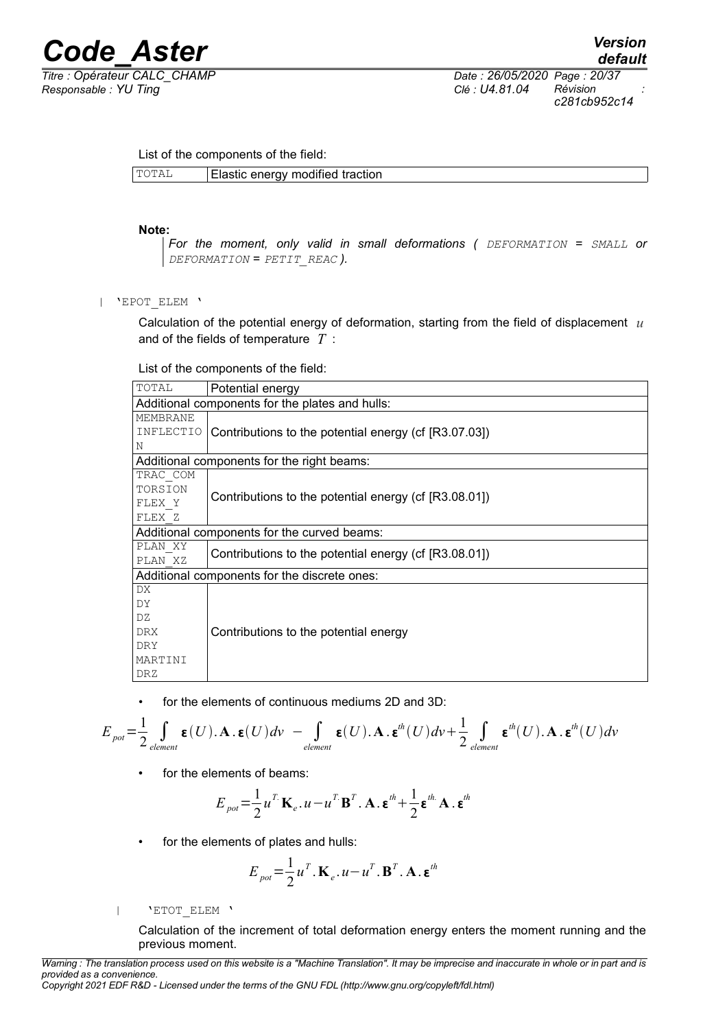*Titre : Opérateur CALC\_CHAMP Date : 26/05/2020 Page : 20/37 Responsable : YU Ting Clé : U4.81.04 Révision : c281cb952c14*

List of the components of the field:

#### **Note:**

*For the moment, only valid in small deformations ( DEFORMATION = SMALL or DEFORMATION = PETIT\_REAC ).*

| 'EPOT\_ELEM '

Calculation of the potential energy of deformation, starting from the field of displacement *u* and of the fields of temperature *T* :

List of the components of the field:

| TOTAL                                           | Potential energy                                      |  |
|-------------------------------------------------|-------------------------------------------------------|--|
| Additional components for the plates and hulls: |                                                       |  |
| MEMBRANE                                        |                                                       |  |
| INFLECTIO                                       | Contributions to the potential energy (cf [R3.07.03]) |  |
| Ν                                               |                                                       |  |
|                                                 | Additional components for the right beams:            |  |
| TRAC COM                                        |                                                       |  |
| TORSION                                         | Contributions to the potential energy (cf [R3.08.01]) |  |
| FLEX Y                                          |                                                       |  |
| FLEX Z                                          |                                                       |  |
| Additional components for the curved beams:     |                                                       |  |
| PLAN XY                                         | Contributions to the potential energy (cf [R3.08.01]) |  |
| PLAN XZ                                         |                                                       |  |
| Additional components for the discrete ones:    |                                                       |  |
| DX                                              |                                                       |  |
| DY                                              |                                                       |  |
| DZ                                              |                                                       |  |
| <b>DRX</b>                                      | Contributions to the potential energy                 |  |
| DRY.                                            |                                                       |  |
| MARTINI                                         |                                                       |  |
| DRZ                                             |                                                       |  |

• for the elements of continuous mediums 2D and 3D:

$$
E_{\text{pot}} = \frac{1}{2} \int_{\text{element}} \mathbf{E}(U) \cdot \mathbf{A} \cdot \mathbf{E}(U) dv - \int_{\text{element}} \mathbf{E}(U) \cdot \mathbf{A} \cdot \mathbf{E}^{\text{th}}(U) dv + \frac{1}{2} \int_{\text{element}} \mathbf{E}^{\text{th}}(U) \cdot \mathbf{A} \cdot \mathbf{E}^{\text{th}}(U) dv
$$

• for the elements of beams:

$$
E_{pot} = \frac{1}{2} u^T \mathbf{K}_e \cdot u - u^T \mathbf{B}^T \cdot \mathbf{A} \cdot \mathbf{\varepsilon}^{th} + \frac{1}{2} \mathbf{\varepsilon}^{th} \cdot \mathbf{A} \cdot \mathbf{\varepsilon}^{th}
$$

• for the elements of plates and hulls:

$$
E_{pot} = \frac{1}{2} u^T . \mathbf{K}_e . u - u^T . \mathbf{B}^T . \mathbf{A} . \mathbf{\varepsilon}^{th}
$$

| 'ETOT\_ELEM '

Calculation of the increment of total deformation energy enters the moment running and the previous moment.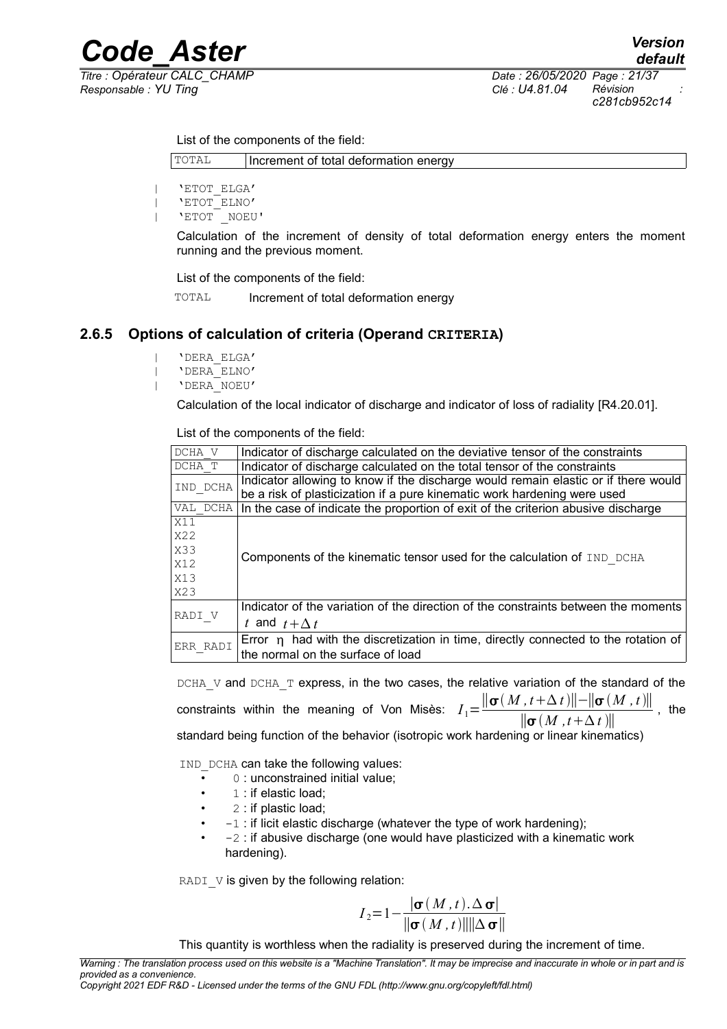*Titre : Opérateur CALC\_CHAMP Date : 26/05/2020 Page : 21/37 Responsable : YU Ting Clé : U4.81.04 Révision :*

*c281cb952c14*

List of the components of the field:

TOTAL | Increment of total deformation energy

| 'ETOT\_ELGA' | 'ETOT\_ELNO' | 'ETOT \_NOEU'

> Calculation of the increment of density of total deformation energy enters the moment running and the previous moment.

List of the components of the field:

TOTAL Increment of total deformation energy

### **2.6.5 Options of calculation of criteria (Operand CRITERIA)**

<span id="page-20-0"></span>| 'DERA\_ELGA' | 'DERA\_ELNO'

| 'DERA\_NOEU'

Calculation of the local indicator of discharge and indicator of loss of radiality [R4.20.01].

List of the components of the field:

| DCHA V     | Indicator of discharge calculated on the deviative tensor of the constraints            |
|------------|-----------------------------------------------------------------------------------------|
| DCHA T     | Indicator of discharge calculated on the total tensor of the constraints                |
| IND DCHA   | Indicator allowing to know if the discharge would remain elastic or if there would      |
|            | be a risk of plasticization if a pure kinematic work hardening were used                |
| VAL DCHA   | In the case of indicate the proportion of exit of the criterion abusive discharge       |
| X11        |                                                                                         |
| X22        |                                                                                         |
| <b>X33</b> |                                                                                         |
| X12        | Components of the kinematic tensor used for the calculation of IND DCHA                 |
| X13        |                                                                                         |
| X23        |                                                                                         |
|            | Indicator of the variation of the direction of the constraints between the moments      |
| RADI V     | t and $t + \Lambda t$                                                                   |
| ERR RADI   | Error $\eta$ had with the discretization in time, directly connected to the rotation of |
|            | the normal on the surface of load                                                       |

DCHA\_V and DCHA\_T express, in the two cases, the relative variation of the standard of the  $\frac{1}{\sigma} \frac{\sigma(M, t + \Delta t)\left\| - \left\| \sigma(M, t) \right\|}{\sigma(M, t + \Delta t)\left\| - \sigma(M, t) \right\|}$  $\frac{\|\mathbf{\sigma}(M,t+\Delta t)\|}{\|\mathbf{\sigma}(M,t+\Delta t)\|}$ , the standard being function of the behavior (isotropic work hardening or linear kinematics)

IND DCHA can take the following values:

- 0 : unconstrained initial value;
- 1 : if elastic load:
- 2 : if plastic load;
- $-1$ : if licit elastic discharge (whatever the type of work hardening);
- $\bullet$  -2 : if abusive discharge (one would have plasticized with a kinematic work hardening).

RADI $V$  is given by the following relation:

$$
I_2 = 1 - \frac{|\sigma(M, t). \Delta \sigma|}{\|\sigma(M, t)\| \|\Delta \sigma\|}
$$

This quantity is worthless when the radiality is preserved during the increment of time.

*Warning : The translation process used on this website is a "Machine Translation". It may be imprecise and inaccurate in whole or in part and is provided as a convenience.*

*Copyright 2021 EDF R&D - Licensed under the terms of the GNU FDL (http://www.gnu.org/copyleft/fdl.html)*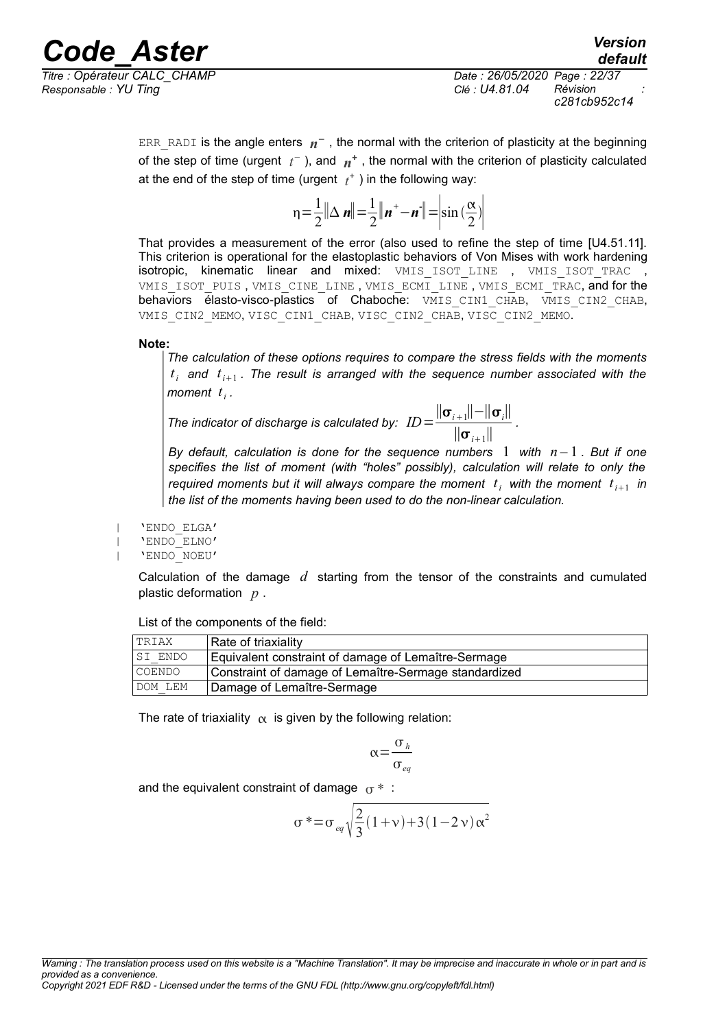*Titre : Opérateur CALC\_CHAMP Date : 26/05/2020 Page : 22/37 Responsable : YU Ting Clé : U4.81.04 Révision :*

ERR\_RADI is the angle enters *n* <sup>−</sup> , the normal with the criterion of plasticity at the beginning of the step of time (urgent  $t^-$  ), and  $n^+$  , the normal with the criterion of plasticity calculated at the end of the step of time (urgent  $t^{\dagger}$  ) in the following way:

$$
\eta = \frac{1}{2} \|\Delta \mathbf{n}\| = \frac{1}{2} \|\mathbf{n}^* - \mathbf{n}^*\| = \left|\sin\left(\frac{\alpha}{2}\right)\right|
$$

That provides a measurement of the error (also used to refine the step of time [U4.51.11]. This criterion is operational for the elastoplastic behaviors of Von Mises with work hardening isotropic, kinematic linear and mixed: VMIS\_ISOT\_LINE , VMIS\_ISOT\_TRAC , VMIS ISOT PUIS, VMIS CINE LINE, VMIS ECMI LINE, VMIS ECMI TRAC, and for the behaviors élasto-visco-plastics of Chaboche: VMIS CIN1 CHAB, VMIS CIN2 CHAB, VMIS CIN2 MEMO, VISC CIN1 CHAB, VISC CIN2 CHAB, VISC CIN2 MEMO.

**Note:**

*The calculation of these options requires to compare the stress fields with the moments*  $t_i$  and  $t_{i+1}$ . The result is arranged with the sequence number associated with the *moment t i .*

*The indicator of discharge is calculated by:*  $\hat{ID} = \frac{||\mathbf{\sigma}_{i+1}|| - ||\mathbf{\sigma}_{i}||}{||\mathbf{\sigma}_{i}||}$  $\frac{1}{\|\sigma_{i+1}\|}$ .

*By default, calculation is done for the sequence numbers 1 with*  $n-1$ *. But if one specifies the list of moment (with "holes" possibly), calculation will relate to only the* required moments but it will always compare the moment  $t_i$  with the moment  $t_{i+1}$  in *the list of the moments having been used to do the non-linear calculation.*

| 'ENDO\_ELGA'

| 'ENDO\_ELNO' | 'ENDO\_NOEU'

> Calculation of the damage *d* starting from the tensor of the constraints and cumulated plastic deformation *p* .

List of the components of the field:

| <b>TRIAX</b> | Rate of triaxiality                                   |
|--------------|-------------------------------------------------------|
| ISI ENDO     | Equivalent constraint of damage of Lemaître-Sermage   |
| COENDO       | Constraint of damage of Lemaître-Sermage standardized |
| DOM LEM      | Damage of Lemaître-Sermage                            |

The rate of triaxiality  $\alpha$  is given by the following relation:

$$
\alpha = \frac{\sigma_h}{\sigma_{eq}}
$$

and the equivalent constraint of damage  $\sigma^*$ :

$$
\sigma^* = \sigma_{eq} \sqrt{\frac{2}{3}(1+\nu)+3(1-2\nu)\alpha^2}
$$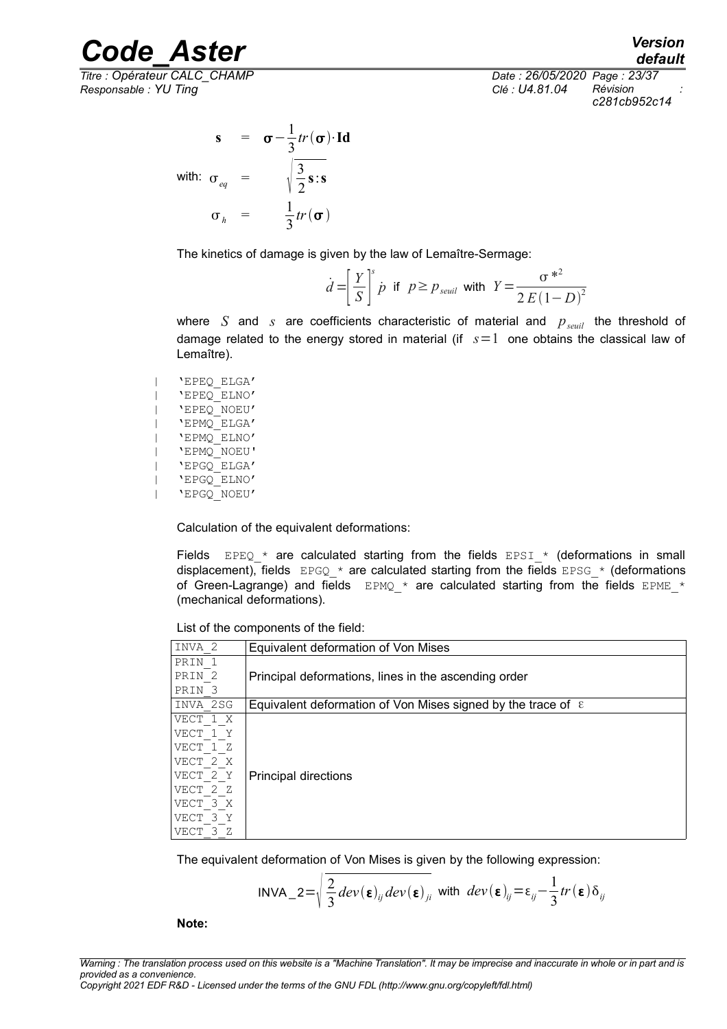*Titre : Opérateur CALC\_CHAMP Date : 26/05/2020 Page : 23/37 Responsable : YU Ting Clé : U4.81.04 Révision :*

*default c281cb952c14*

$$
\mathbf{s} = \mathbf{\sigma} - \frac{1}{3}tr(\mathbf{\sigma}) \cdot \mathbf{Id}
$$
  
with:  $\sigma_{eq} = \sqrt{\frac{3}{2} \mathbf{s} \cdot \mathbf{s}}$   
 $\sigma_{h} = \frac{1}{3}tr(\mathbf{\sigma})$ 

The kinetics of damage is given by the law of Lemaître-Sermage:

$$
\dot{d} = \left[\frac{Y}{S}\right]^s \dot{p} \text{ if } p \ge p_{\text{seuil}} \text{ with } Y = \frac{\sigma^{*^2}}{2E(1-D)^2}
$$

where *S* and *s* are coefficients characteristic of material and  $p_{\text{seuil}}$  the threshold of damage related to the energy stored in material (if *s*=1 one obtains the classical law of Lemaître).

| 'EPEQ\_ELGA' | 'EPEQ\_ELNO' | 'EPEQ\_NOEU' | 'EPMQ\_ELGA' | 'EPMQ\_ELNO' | 'EPMQ\_NOEU' | 'EPGQ\_ELGA' | 'EPGQ\_ELNO' | 'EPGQ\_NOEU'

Calculation of the equivalent deformations:

Fields EPEQ  $*$  are calculated starting from the fields EPSI  $*$  (deformations in small displacement), fields  $EPGQ*$  are calculated starting from the fields  $EPSG*$  (deformations of Green-Lagrange) and fields  $EPMQ *$  are calculated starting from the fields  $EPME *$ (mechanical deformations).

List of the components of the field:

| INVA 2            | Equivalent deformation of Von Mises                                   |
|-------------------|-----------------------------------------------------------------------|
| PRIN <sub>1</sub> |                                                                       |
| PRIN <sub>2</sub> | Principal deformations, lines in the ascending order                  |
| PRIN <sub>3</sub> |                                                                       |
| INVA 2SG          | Equivalent deformation of Von Mises signed by the trace of $\epsilon$ |
| VECT 1 X          |                                                                       |
| VECT 1 Y          |                                                                       |
| VECT 1 Z          |                                                                       |
| VECT 2 X          |                                                                       |
| VECT 2 Y          | Principal directions                                                  |
| VECT 2 Z          |                                                                       |
| VECT 3 X          |                                                                       |
| VECT 3 Y          |                                                                       |
| VECT 3 Z          |                                                                       |

The equivalent deformation of Von Mises is given by the following expression:

$$
INVA\_2 = \sqrt{\frac{2}{3}} dev(\epsilon)_{ij} dev(\epsilon)_{ji} \text{ with } dev(\epsilon)_{ij} = \epsilon_{ij} - \frac{1}{3} tr(\epsilon) \delta_{ij}
$$

**Note:**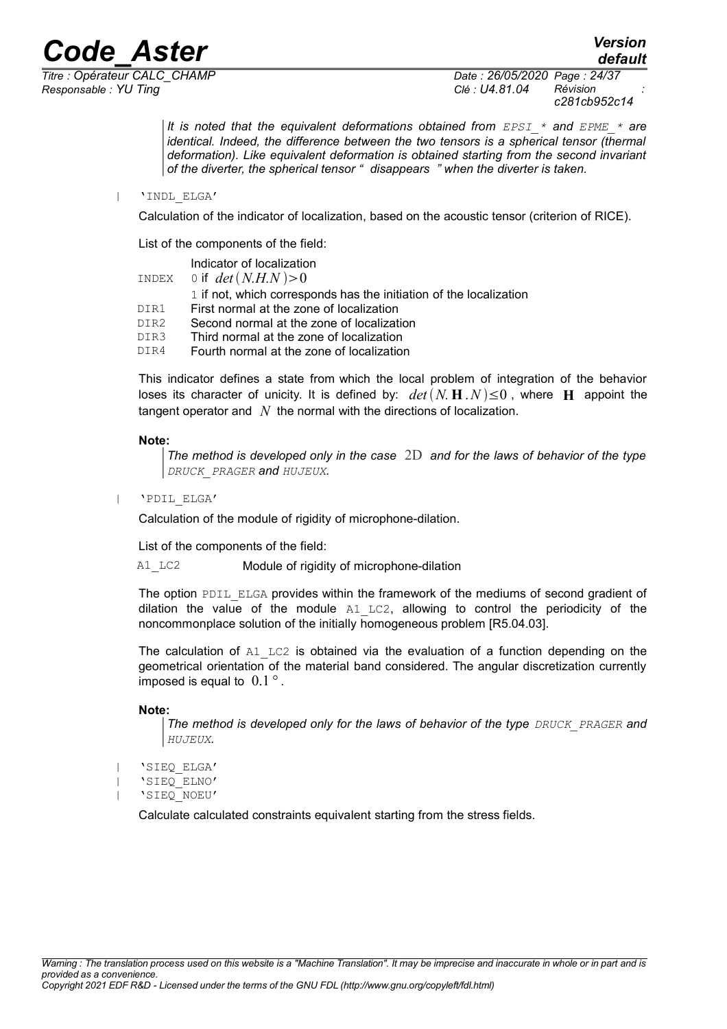*Responsable : YU Ting Clé : U4.81.04 Révision :*

*Titre : Opérateur CALC\_CHAMP Date : 26/05/2020 Page : 24/37 c281cb952c14*

*default*

*It is noted that the equivalent deformations obtained from EPSI\_\* and EPME\_\* are identical. Indeed, the difference between the two tensors is a spherical tensor (thermal deformation). Like equivalent deformation is obtained starting from the second invariant of the diverter, the spherical tensor " disappears " when the diverter is taken.*

| 'INDL\_ELGA'

Calculation of the indicator of localization, based on the acoustic tensor (criterion of RICE).

List of the components of the field:

|                  | Indicator of localization                                          |
|------------------|--------------------------------------------------------------------|
| INDEX            | 0 if $det(N.H.N)>0$                                                |
|                  | 1 if not, which corresponds has the initiation of the localization |
| DTR1             | First normal at the zone of localization                           |
| DTR <sub>2</sub> | Second normal at the zone of localization                          |
| DIR3             | Third normal at the zone of localization                           |
| DTR4             | Fourth normal at the zone of localization                          |

This indicator defines a state from which the local problem of integration of the behavior loses its character of unicity. It is defined by:  $det(N, H, N) \leq 0$ , where H appoint the tangent operator and *N* the normal with the directions of localization.

### **Note:**

*The method is developed only in the case* 2D *and for the laws of behavior of the type DRUCK\_PRAGER and HUJEUX.*

| 'PDIL\_ELGA'

Calculation of the module of rigidity of microphone-dilation.

List of the components of the field:

A1 LC2 Module of rigidity of microphone-dilation

The option PDIL\_ELGA provides within the framework of the mediums of second gradient of dilation the value of the module  $A1$  LC2, allowing to control the periodicity of the noncommonplace solution of the initially homogeneous problem [R5.04.03].

The calculation of  $A1$  LC2 is obtained via the evaluation of a function depending on the geometrical orientation of the material band considered. The angular discretization currently imposed is equal to 0.1 *°* .

### **Note:**

*The method is developed only for the laws of behavior of the type DRUCK\_PRAGER and HUJEUX.*

- | 'SIEQ\_ELGA'
- | 'SIEQ\_ELNO'
- | 'SIEQ\_NOEU'

Calculate calculated constraints equivalent starting from the stress fields.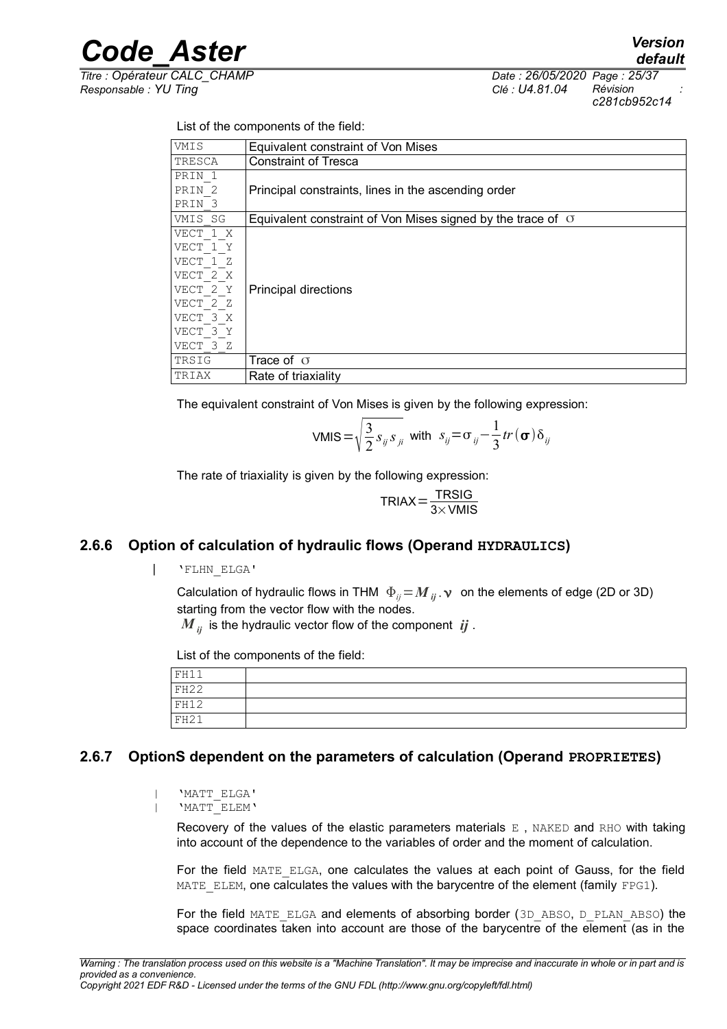*Titre : Opérateur CALC\_CHAMP Date : 26/05/2020 Page : 25/37 Responsable : YU Ting Clé : U4.81.04 Révision :*

*default c281cb952c14*

List of the components of the field:

| VMIS              | Equivalent constraint of Von Mises                                 |
|-------------------|--------------------------------------------------------------------|
| TRESCA            | <b>Constraint of Tresca</b>                                        |
| PRIN <sub>1</sub> |                                                                    |
| PRIN <sub>2</sub> | Principal constraints, lines in the ascending order                |
| PRIN <sub>3</sub> |                                                                    |
| VMIS SG           | Equivalent constraint of Von Mises signed by the trace of $\sigma$ |
| VECT 1 X          |                                                                    |
| VECT 1 Y          |                                                                    |
| VECT 1 Z          |                                                                    |
| VECT 2 X          |                                                                    |
| VECT 2 Y          | <b>Principal directions</b>                                        |
| VECT 2 Z          |                                                                    |
| VECT 3 X          |                                                                    |
| VECT 3 Y          |                                                                    |
| VECT 3 Z          |                                                                    |
| TRSIG             | Trace of $\sigma$                                                  |
| TRIAX             | Rate of triaxiality                                                |

The equivalent constraint of Von Mises is given by the following expression:

$$
VMIS = \sqrt{\frac{3}{2} s_{ij} s_{ji}} \text{ with } s_{ij} = \sigma_{ij} - \frac{1}{3} tr(\sigma) \delta_{ij}
$$

The rate of triaxiality is given by the following expression:

$$
TRIAX = \frac{TRSIG}{3 \times VMIS}
$$

### **2.6.6 Option of calculation of hydraulic flows (Operand HYDRAULICS)**

<span id="page-24-1"></span>| 'FLHN\_ELGA'

Calculation of hydraulic flows in THM  $\Phi_{ij} = M_{ij}$ .  $\nu$  on the elements of edge (2D or 3D) starting from the vector flow with the nodes.

 $M_{ii}$  is the hydraulic vector flow of the component  $i\dot{j}$ .

List of the components of the field:

| FH11 |  |
|------|--|
| FH22 |  |
| FH12 |  |
| FH21 |  |

### **2.6.7 OptionS dependent on the parameters of calculation (Operand PROPRIETES)**

```
| 'MATT_ELGA'
| 'MATT_ELEM'
```
Recovery of the values of the elastic parameters materials  $E$ , NAKED and RHO with taking into account of the dependence to the variables of order and the moment of calculation.

For the field MATE ELGA, one calculates the values at each point of Gauss, for the field MATE ELEM, one calculates the values with the barycentre of the element (family FPG1).

For the field MATE\_ELGA and elements of absorbing border (3D\_ABSO, D\_PLAN\_ABSO) the space coordinates taken into account are those of the barycentre of the element (as in the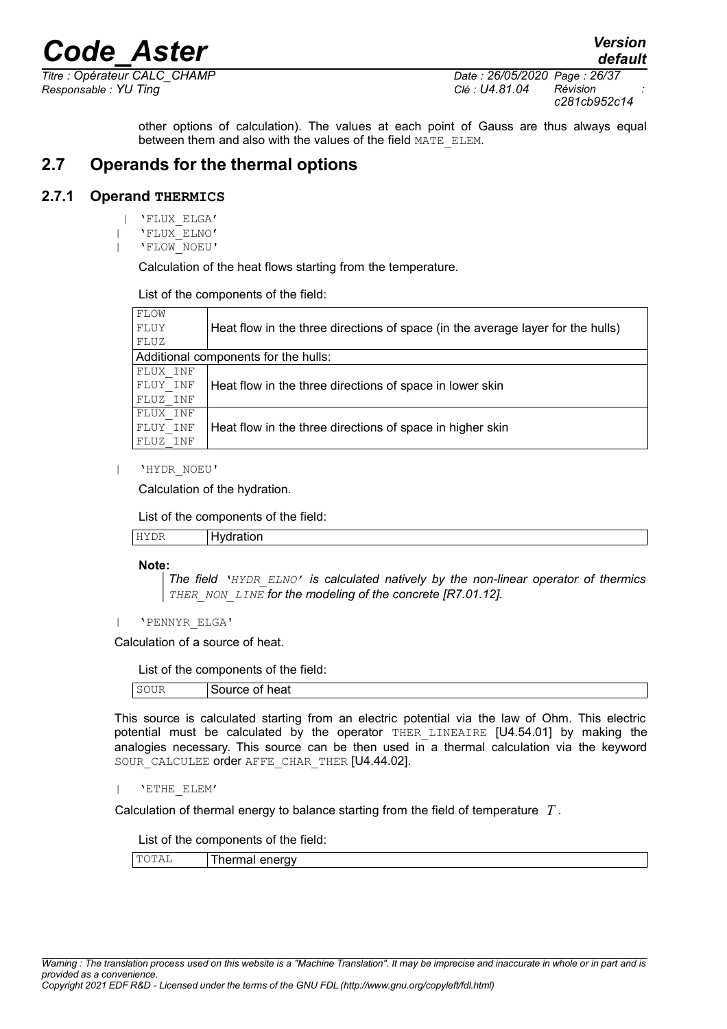*Responsable : YU Ting Clé : U4.81.04 Révision :*

*default Titre : Opérateur CALC\_CHAMP Date : 26/05/2020 Page : 26/37 c281cb952c14*

> other options of calculation). The values at each point of Gauss are thus always equal between them and also with the values of the field MATE\_ELEM.

### <span id="page-25-1"></span>**2.7 Operands for the thermal options**

### **2.7.1 Operand THERMICS**

- <span id="page-25-0"></span>| 'FLUX\_ELGA'
- | 'FLUX\_ELNO'
- | 'FLOW\_NOEU'

Calculation of the heat flows starting from the temperature.

List of the components of the field:

| FLOW                                 |                                                                                 |
|--------------------------------------|---------------------------------------------------------------------------------|
| FLUY                                 | Heat flow in the three directions of space (in the average layer for the hulls) |
| FLUZ                                 |                                                                                 |
| Additional components for the hulls: |                                                                                 |
| FLUX INF                             |                                                                                 |
| FLUY INF                             | Heat flow in the three directions of space in lower skin                        |
| FLUZ INF                             |                                                                                 |
| FLUX INF                             |                                                                                 |
| FLUY INF                             | Heat flow in the three directions of space in higher skin                       |
| FLUZ INF                             |                                                                                 |

| 'HYDR\_NOEU'

Calculation of the hydration.

List of the components of the field:

| HYDR | Hydration |
|------|-----------|
|      |           |

**Note:**

*The field 'HYDR\_ELNO' is calculated natively by the non-linear operator of thermics THER\_NON\_LINE for the modeling of the concrete [R7.01.12].*

| 'PENNYR\_ELGA'

Calculation of a source of heat.

List of the components of the field:

|  | Source of heat |
|--|----------------|
|--|----------------|

This source is calculated starting from an electric potential via the law of Ohm. This electric potential must be calculated by the operator THER\_LINEAIRE [U4.54.01] by making the analogies necessary. This source can be then used in a thermal calculation via the keyword SOUR CALCULEE order AFFE CHAR THER [U4.44.02].

| 'ETHE\_ELEM'

Calculation of thermal energy to balance starting from the field of temperature *T* .

List of the components of the field:

TOTAL Thermal energy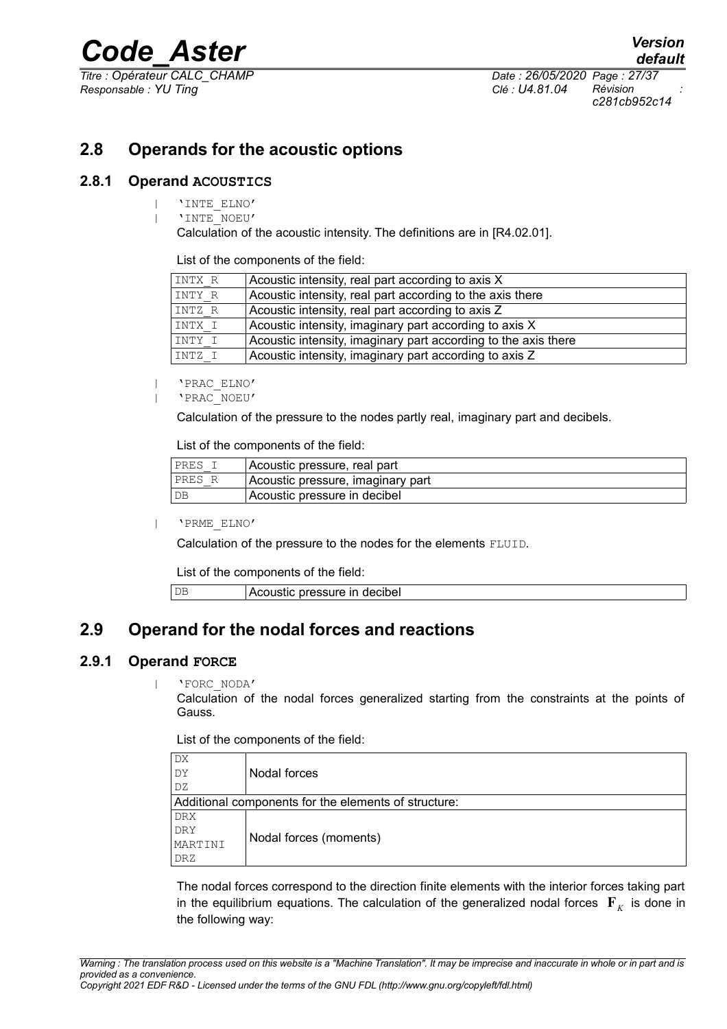*Titre : Opérateur CALC\_CHAMP Date : 26/05/2020 Page : 27/37 Responsable : YU Ting Clé : U4.81.04 Révision :*

*c281cb952c14*

### <span id="page-26-3"></span>**2.8 Operands for the acoustic options**

### **2.8.1 Operand ACOUSTICS**

- <span id="page-26-2"></span>| 'INTE\_ELNO'
	- | 'INTE\_NOEU'

Calculation of the acoustic intensity. The definitions are in [R4.02.01].

List of the components of the field:

| INTX R | Acoustic intensity, real part according to axis X              |
|--------|----------------------------------------------------------------|
| INTY R | Acoustic intensity, real part according to the axis there      |
| INTZ R | Acoustic intensity, real part according to axis Z              |
| INTX I | Acoustic intensity, imaginary part according to axis X         |
| INTY I | Acoustic intensity, imaginary part according to the axis there |
| INTZ I | Acoustic intensity, imaginary part according to axis Z         |

| 'PRAC\_ELNO'

| 'PRAC\_NOEU'

Calculation of the pressure to the nodes partly real, imaginary part and decibels.

List of the components of the field:

| PRES I        | Acoustic pressure, real part      |
|---------------|-----------------------------------|
| PRES R        | Acoustic pressure, imaginary part |
| <sub>DB</sub> | Acoustic pressure in decibel      |

| 'PRME\_ELNO'

Calculation of the pressure to the nodes for the elements FLUID.

List of the components of the field:

DB **Acoustic pressure in decibel** 

### <span id="page-26-1"></span>**2.9 Operand for the nodal forces and reactions**

### **2.9.1 Operand FORCE**

<span id="page-26-0"></span>| 'FORC\_NODA'

Calculation of the nodal forces generalized starting from the constraints at the points of Gauss.

List of the components of the field:

| DX                                                   |                        |  |
|------------------------------------------------------|------------------------|--|
| DY                                                   | Nodal forces           |  |
| DZ                                                   |                        |  |
| Additional components for the elements of structure: |                        |  |
| <b>DRX</b>                                           |                        |  |
| DRY                                                  | Nodal forces (moments) |  |
| MARTINI                                              |                        |  |
| DRZ                                                  |                        |  |

The nodal forces correspond to the direction finite elements with the interior forces taking part in the equilibrium equations. The calculation of the generalized nodal forces  $\mathbf{F}_K$  is done in the following way: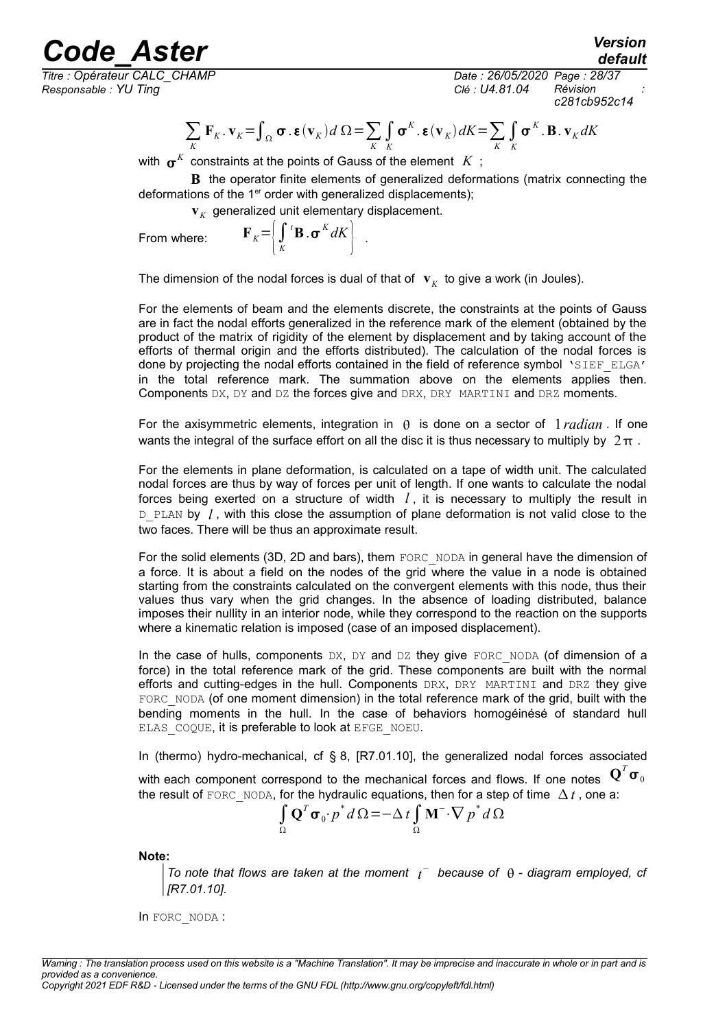# *Code*<br>*Conérateur CALC CHAMP*<br>*Conérateur CALC CHAMP*

*Titre : Opérateur CALC\_CHAMP Date : 26/05/2020 Page : 28/37 Responsable : YU Ting Clé : U4.81.04 Révision :*

*c281cb952c14*

*default*

$$
\sum_{K} \mathbf{F}_{K} \cdot \mathbf{v}_{K} = \int_{\Omega} \boldsymbol{\sigma} \cdot \boldsymbol{\epsilon}(\mathbf{v}_{K}) d \Omega = \sum_{K} \int_{K} \boldsymbol{\sigma}^{K} \cdot \boldsymbol{\epsilon}(\mathbf{v}_{K}) dK = \sum_{K} \int_{K} \boldsymbol{\sigma}^{K} \cdot \mathbf{B} \cdot \mathbf{v}_{K} dK
$$

with  $\,\boldsymbol{\sigma}^K\,$  constraints at the points of Gauss of the element  $\,K\,$  ;

**B** the operator finite elements of generalized deformations (matrix connecting the deformations of the  $1<sup>er</sup>$  order with generalized displacements);

 $\mathbf{v}_K^{\dagger}$  generalized unit elementary displacement.

From where:

 $\left| \int\limits_K$  $\left\{ \mathbf{B} \cdot \mathbf{\sigma}^K dK \right\}$ .

The dimension of the nodal forces is dual of that of  $\mathbf{v}_K^{\top}$  to give a work (in Joules).

For the elements of beam and the elements discrete, the constraints at the points of Gauss are in fact the nodal efforts generalized in the reference mark of the element (obtained by the product of the matrix of rigidity of the element by displacement and by taking account of the efforts of thermal origin and the efforts distributed). The calculation of the nodal forces is done by projecting the nodal efforts contained in the field of reference symbol 'SIEF ELGA' in the total reference mark. The summation above on the elements applies then. Components DX, DY and DZ the forces give and DRX, DRY MARTINI and DRZ moments.

For the axisymmetric elements, integration in  $\theta$  is done on a sector of  $1$  *radian*. If one wants the integral of the surface effort on all the disc it is thus necessary to multiply by  $2\pi$ .

For the elements in plane deformation, is calculated on a tape of width unit. The calculated nodal forces are thus by way of forces per unit of length. If one wants to calculate the nodal forces being exerted on a structure of width  $l$ , it is necessary to multiply the result in D<sub>PLAN</sub> by *l*, with this close the assumption of plane deformation is not valid close to the two faces. There will be thus an approximate result.

For the solid elements (3D, 2D and bars), them FORC\_NODA in general have the dimension of a force. It is about a field on the nodes of the grid where the value in a node is obtained starting from the constraints calculated on the convergent elements with this node, thus their values thus vary when the grid changes. In the absence of loading distributed, balance imposes their nullity in an interior node, while they correspond to the reaction on the supports where a kinematic relation is imposed (case of an imposed displacement).

In the case of hulls, components DX, DY and DZ they give FORC\_NODA (of dimension of a force) in the total reference mark of the grid. These components are built with the normal efforts and cutting-edges in the hull. Components DRX, DRY MARTINI and DRZ they give FORC NODA (of one moment dimension) in the total reference mark of the grid, built with the bending moments in the hull. In the case of behaviors homogéinésé of standard hull ELAS COQUE, it is preferable to look at EFGE\_NOEU.

In (thermo) hydro-mechanical, cf § 8, [R7.01.10], the generalized nodal forces associated with each component correspond to the mechanical forces and flows. If one notes  $\mathbf{Q}^T \mathbf{\sigma}_0$ 

the result of FORC<sub>NODA</sub>, for the hydraulic equations, then for a step of time  $\Delta t$ , one a:

$$
\int_{\Omega} \mathbf{Q}^T \boldsymbol{\sigma}_0 \cdot p^* d\Omega = -\Delta t \int_{\Omega} \mathbf{M}^- \cdot \nabla p^* d\Omega
$$

**Note:**

*To note that flows are taken at the moment*  $t^-$  because of  $\theta$  - diagram employed, cf *[R7.01.10].*

In FORC\_NODA :

*Warning : The translation process used on this website is a "Machine Translation". It may be imprecise and inaccurate in whole or in part and is provided as a convenience. Copyright 2021 EDF R&D - Licensed under the terms of the GNU FDL (http://www.gnu.org/copyleft/fdl.html)*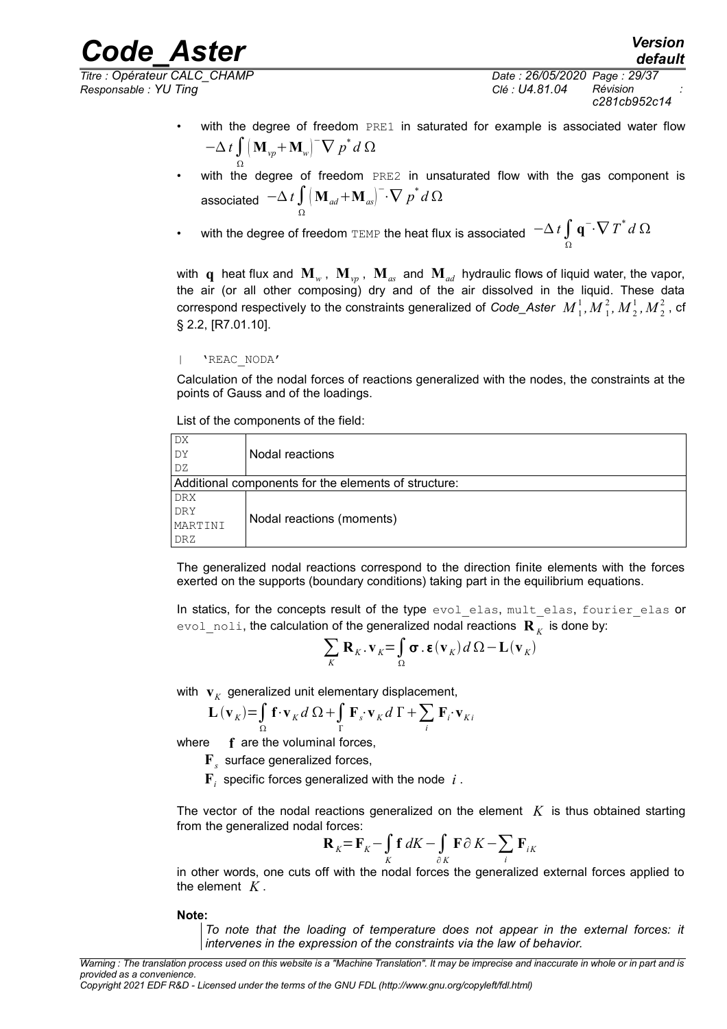*Responsable : YU Ting Clé : U4.81.04 Révision :*

*Titre : Opérateur CALC\_CHAMP Date : 26/05/2020 Page : 29/37 c281cb952c14*

*default*

- with the degree of freedom PRE1 in saturated for example is associated water flow  $-\Delta t \int (\mathbf{M}_{vp} + \mathbf{M}_w)^{-} \nabla p^* d\Omega$
- Ω • with the degree of freedom PRE2 in unsaturated flow with the gas component is associated  $-\Delta \, t \int \bigl( \mathbf{M}_{\scriptscriptstyle{ad}} + \mathbf{M}_{\scriptscriptstyle{as}} \bigr)^- \!\!\cdot\! \nabla \, p^* \, d \, \Omega$ Ω

• with the degree of freedom TEMP the heat flux is associated  $\;$   $\;$   $\;$   $\Delta$   $\iint\limits_{\Omega}$ **q**<sup>-</sup>⋅ $\nabla T^*$ *d* Ω

with  $\bf q$  heat flux and  ${\bf M}_{_W}$ ,  ${\bf M}_{_{vp}}$ ,  ${\bf M}_{_{as}}$  and  ${\bf M}_{_{ad}}$  hydraulic flows of liquid water, the vapor, the air (or all other composing) dry and of the air dissolved in the liquid. These data correspond respectively to the constraints generalized of *Code\_Aster*  $\ M^1_{\ 1}, M^2_{\ 1}, M^1_{\ 2}, M^2_{\ 2}$  , cf § 2.2, [R7.01.10].

| 'REAC\_NODA'

Calculation of the nodal forces of reactions generalized with the nodes, the constraints at the points of Gauss and of the loadings.

List of the components of the field:

| DX                                                   |                           |
|------------------------------------------------------|---------------------------|
| DY                                                   | Nodal reactions           |
| DZ.                                                  |                           |
| Additional components for the elements of structure: |                           |
| DRX                                                  |                           |
| DRY                                                  | Nodal reactions (moments) |
| MARTINI                                              |                           |
| DRZ                                                  |                           |

The generalized nodal reactions correspond to the direction finite elements with the forces exerted on the supports (boundary conditions) taking part in the equilibrium equations.

In statics, for the concepts result of the type evol elas, mult elas, fourier elas or  $\epsilon$ vo $1\_$ no $1$  $i$ , the calculation of the generalized nodal reactions  $\mathbf{R}_{\overline{K}}$  is done by:

$$
\sum_{K} \mathbf{R}_{K} \cdot \mathbf{v}_{K} = \int_{\Omega} \boldsymbol{\sigma} \cdot \boldsymbol{\epsilon}(\mathbf{v}_{K}) d\Omega - \mathbf{L}(\mathbf{v}_{K})
$$

with  $\mathbf{v}_K$  generalized unit elementary displacement,

$$
\mathbf{L}(\mathbf{v}_K) = \int_{\Omega} \mathbf{f} \cdot \mathbf{v}_K d\Omega + \int_{\Gamma} \mathbf{F}_s \cdot \mathbf{v}_K d\Gamma + \sum_i \mathbf{F}_i \cdot \mathbf{v}_{Ki}
$$

where **f** are the voluminal forces,

- **F***s* surface generalized forces,
- **F***i* specific forces generalized with the node *i* .

The vector of the nodal reactions generalized on the element  $K$  is thus obtained starting from the generalized nodal forces:

$$
\mathbf{R}_K = \mathbf{F}_K - \int\limits_K \mathbf{f} \, dK - \int\limits_{\partial K} \mathbf{F} \partial \, K - \sum_i \, \mathbf{F}_{iK}
$$

in other words, one cuts off with the nodal forces the generalized external forces applied to the element *K* .

**Note:**

*To note that the loading of temperature does not appear in the external forces: it intervenes in the expression of the constraints via the law of behavior.*

*Warning : The translation process used on this website is a "Machine Translation". It may be imprecise and inaccurate in whole or in part and is provided as a convenience.*

*Copyright 2021 EDF R&D - Licensed under the terms of the GNU FDL (http://www.gnu.org/copyleft/fdl.html)*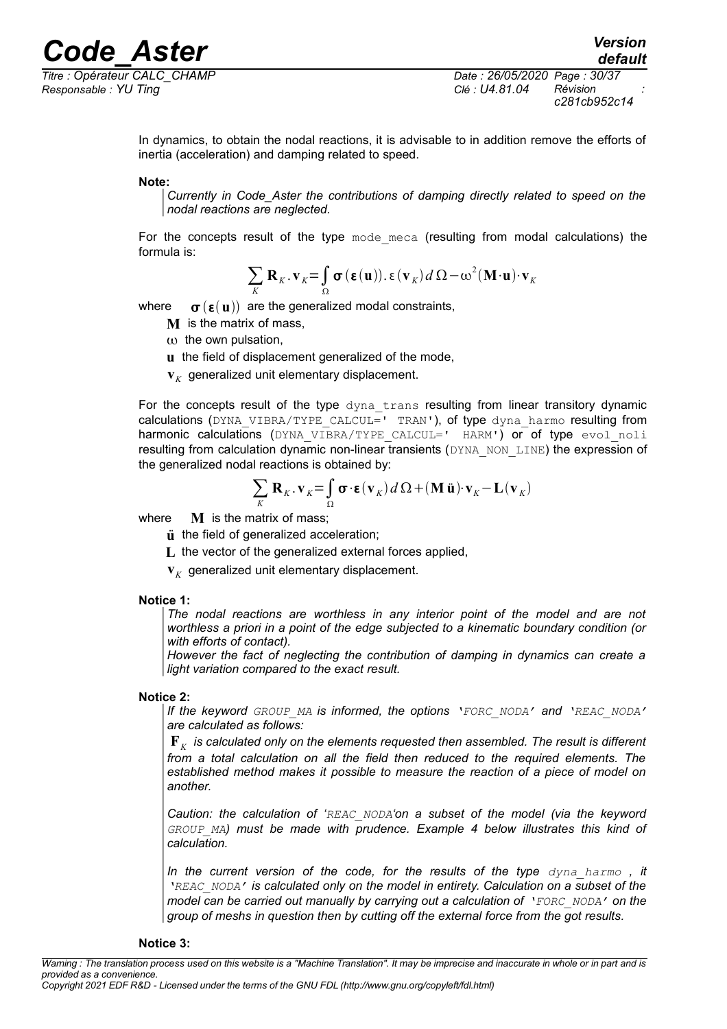*Responsable : YU Ting Clé : U4.81.04 Révision :*

*Titre : Opérateur CALC\_CHAMP Date : 26/05/2020 Page : 30/37 c281cb952c14*

> In dynamics, to obtain the nodal reactions, it is advisable to in addition remove the efforts of inertia (acceleration) and damping related to speed.

### **Note:**

*Currently in Code\_Aster the contributions of damping directly related to speed on the nodal reactions are neglected.*

For the concepts result of the type  $\text{mode}$  meca (resulting from modal calculations) the formula is:

$$
\sum_{K} \mathbf{R}_{K} \cdot \mathbf{v}_{K} = \int_{\Omega} \sigma(\boldsymbol{\epsilon}(\mathbf{u})). \, \boldsymbol{\epsilon}(\mathbf{v}_{K}) \, d \Omega - \omega^{2} (\mathbf{M} \cdot \mathbf{u}) \cdot \mathbf{v}_{K}
$$

where  $\sigma(\epsilon(\mathbf{u}))$  are the generalized modal constraints,

- **M** is the matrix of mass,
- $\omega$  the own pulsation,
- **u** the field of displacement generalized of the mode,
- $\mathbf{v}_K$  generalized unit elementary displacement.

For the concepts result of the type dyna trans resulting from linear transitory dynamic calculations (DYNA\_VIBRA/TYPE\_CALCUL=' TRAN'), of type dyna\_harmo resulting from harmonic calculations (DYNA VIBRA/TYPE CALCUL=' HARM') or of type evol noli resulting from calculation dynamic non-linear transients (DYNA\_NON\_LINE) the expression of the generalized nodal reactions is obtained by:

$$
\sum_{K} \mathbf{R}_{K} \cdot \mathbf{v}_{K} = \int_{\Omega} \boldsymbol{\sigma} \cdot \boldsymbol{\epsilon}(\mathbf{v}_{K}) d\Omega + (\mathbf{M} \ddot{\mathbf{u}}) \cdot \mathbf{v}_{K} - \mathbf{L}(\mathbf{v}_{K})
$$

where **M** is the matrix of mass;

- $\ddot{\mathbf{u}}$  the field of generalized acceleration;
- **L** the vector of the generalized external forces applied,
- $\mathbf{v}_K$  generalized unit elementary displacement.

#### **Notice 1:**

*The nodal reactions are worthless in any interior point of the model and are not worthless a priori in a point of the edge subjected to a kinematic boundary condition (or with efforts of contact).*

*However the fact of neglecting the contribution of damping in dynamics can create a light variation compared to the exact result.*

#### **Notice 2:**

*If the keyword GROUP\_MA is informed, the options 'FORC\_NODA' and 'REAC\_NODA' are calculated as follows:* 

 $\mathbf{F}_{K}^{\top}$  is calculated only on the elements requested then assembled. The result is different *from a total calculation on all the field then reduced to the required elements. The established method makes it possible to measure the reaction of a piece of model on another.*

*Caution: the calculation of 'REAC\_NODA'on a subset of the model (via the keyword GROUP\_MA) must be made with prudence. Example 4 below illustrates this kind of calculation.*

*In the current version of the code, for the results of the type dyna\_harmo , it 'REAC\_NODA' is calculated only on the model in entirety. Calculation on a subset of the model can be carried out manually by carrying out a calculation of 'FORC\_NODA' on the group of meshs in question then by cutting off the external force from the got results.*

#### **Notice 3:**

*Warning : The translation process used on this website is a "Machine Translation". It may be imprecise and inaccurate in whole or in part and is provided as a convenience.*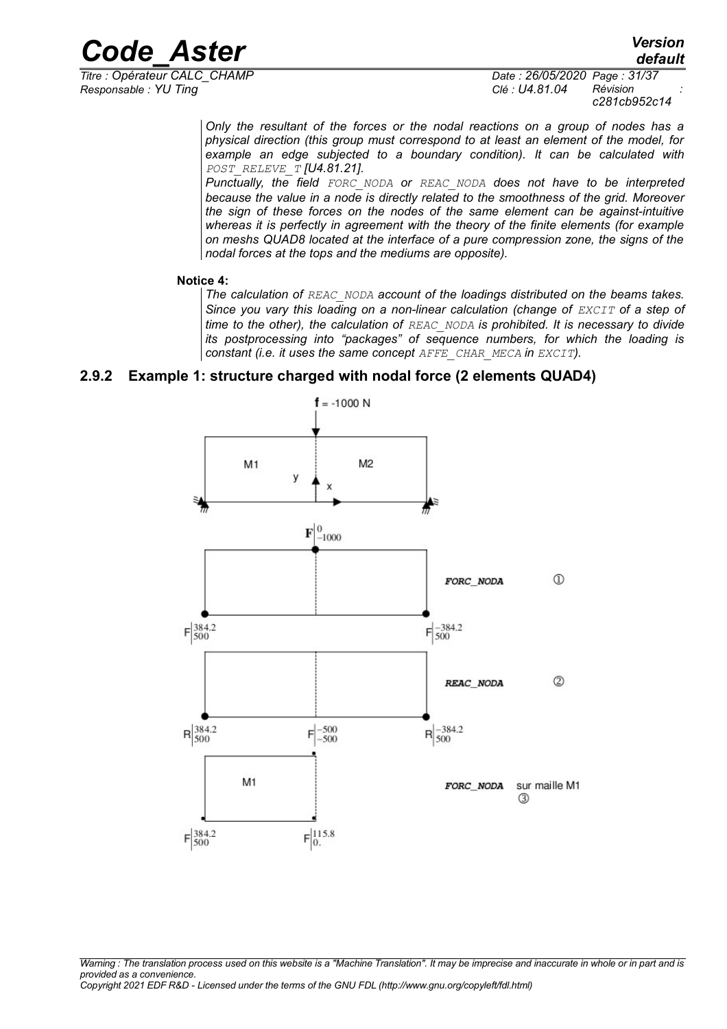*Titre : Opérateur CALC\_CHAMP Date : 26/05/2020 Page : 31/37 Responsable : YU Ting Clé : U4.81.04 Révision :*

*c281cb952c14*

*Only the resultant of the forces or the nodal reactions on a group of nodes has a physical direction (this group must correspond to at least an element of the model, for example an edge subjected to a boundary condition). It can be calculated with POST\_RELEVE\_T [U4.81.21].*

*Punctually, the field FORC\_NODA or REAC\_NODA does not have to be interpreted because the value in a node is directly related to the smoothness of the grid. Moreover the sign of these forces on the nodes of the same element can be against-intuitive whereas it is perfectly in agreement with the theory of the finite elements (for example on meshs QUAD8 located at the interface of a pure compression zone, the signs of the nodal forces at the tops and the mediums are opposite).*

### **Notice 4:**

*The calculation of REAC\_NODA account of the loadings distributed on the beams takes.* Since you vary this loading on a non-linear calculation (change of *EXCIT* of a step of *time to the other), the calculation of REAC\_NODA is prohibited. It is necessary to divide its postprocessing into "packages" of sequence numbers, for which the loading is constant (i.e. it uses the same concept AFFE\_CHAR\_MECA in EXCIT).* 

### **2.9.2 Example 1: structure charged with nodal force (2 elements QUAD4)**

<span id="page-30-0"></span>

*Warning : The translation process used on this website is a "Machine Translation". It may be imprecise and inaccurate in whole or in part and is provided as a convenience. Copyright 2021 EDF R&D - Licensed under the terms of the GNU FDL (http://www.gnu.org/copyleft/fdl.html)*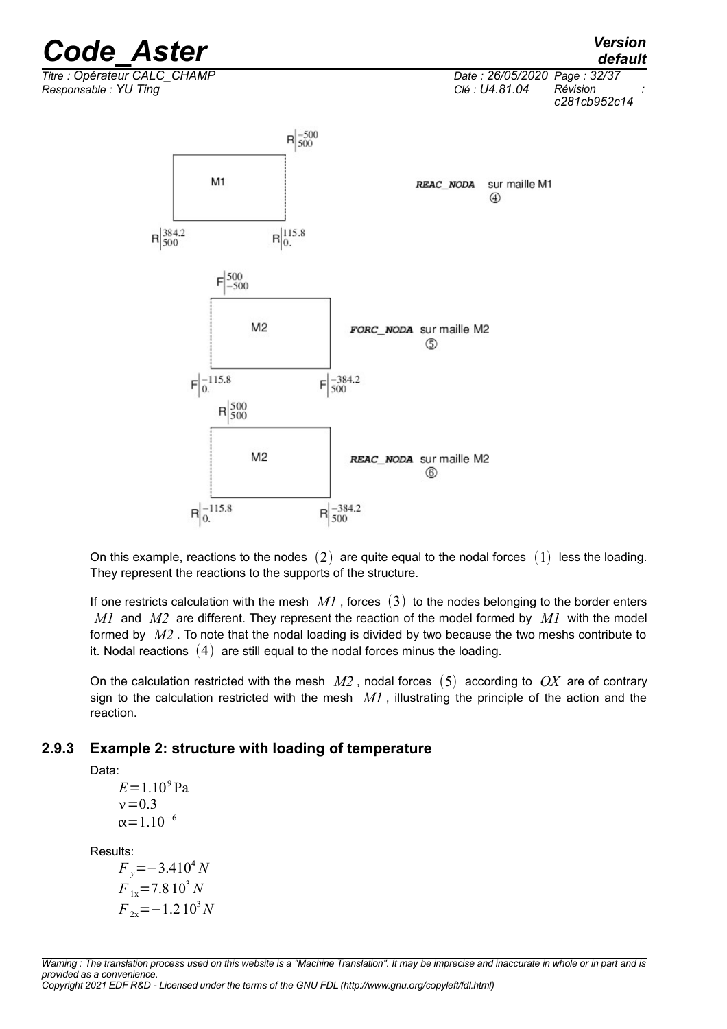

On this example, reactions to the nodes  $(2)$  are quite equal to the nodal forces  $(1)$  less the loading. They represent the reactions to the supports of the structure.

If one restricts calculation with the mesh  $MI$ , forces  $(3)$  to the nodes belonging to the border enters *M1* and *M2* are different. They represent the reaction of the model formed by *M1* with the model formed by *M2* . To note that the nodal loading is divided by two because the two meshs contribute to it. Nodal reactions  $(4)$  are still equal to the nodal forces minus the loading.

On the calculation restricted with the mesh  $M2$ , nodal forces  $(5)$  according to  $OX$  are of contrary sign to the calculation restricted with the mesh  $MI$ , illustrating the principle of the action and the reaction.

### **2.9.3 Example 2: structure with loading of temperature**

<span id="page-31-0"></span>Data:

 $E = 1.10^9$  Pa  $v = 0.3$  $\alpha$ =1.10<sup>-6</sup>

Results:

 $F_v = -3.410^4 N$  $F_{1x}$ =7.8 10<sup>3</sup> *N*  $F_{2x}$ =−1.210<sup>3</sup>*N* 

*Warning : The translation process used on this website is a "Machine Translation". It may be imprecise and inaccurate in whole or in part and is provided as a convenience. Copyright 2021 EDF R&D - Licensed under the terms of the GNU FDL (http://www.gnu.org/copyleft/fdl.html)*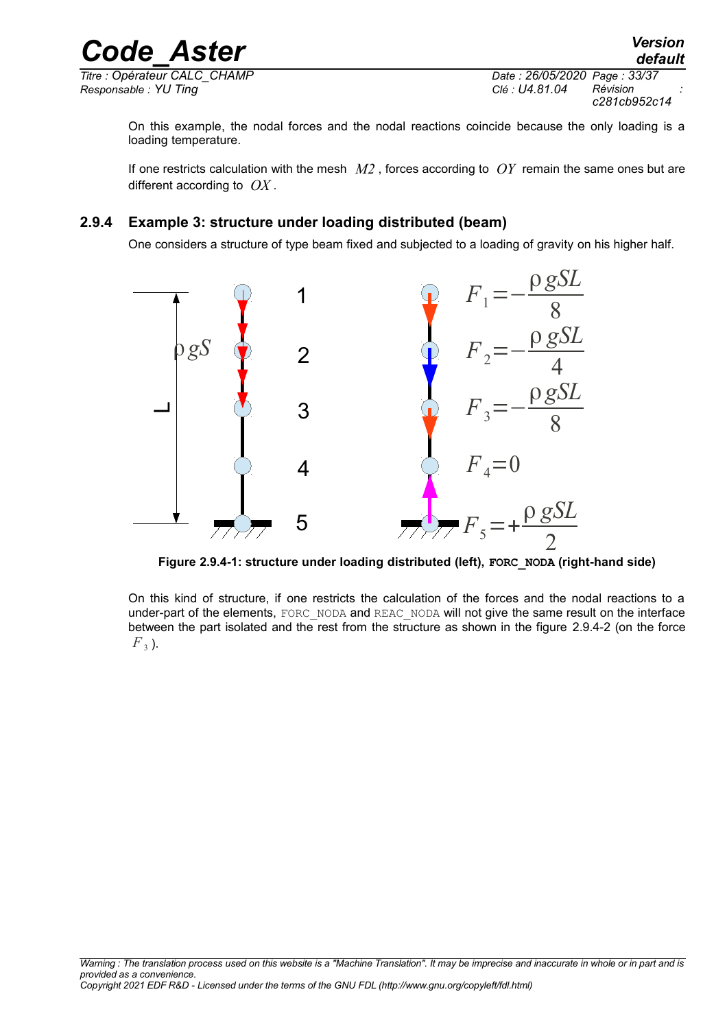*Titre : Opérateur CALC\_CHAMP Date : 26/05/2020 Page : 33/37*

*Responsable : YU Ting Clé : U4.81.04 Révision : c281cb952c14*

On this example, the nodal forces and the nodal reactions coincide because the only loading is a loading temperature.

If one restricts calculation with the mesh *M2* , forces according to *OY* remain the same ones but are different according to *OX* .

### **2.9.4 Example 3: structure under loading distributed (beam)**

<span id="page-32-0"></span>One considers a structure of type beam fixed and subjected to a loading of gravity on his higher half.



**Figure 2.9.4-1: structure under loading distributed (left), FORC\_NODA (right-hand side)**

On this kind of structure, if one restricts the calculation of the forces and the nodal reactions to a under-part of the elements, FORC\_NODA and REAC\_NODA will not give the same result on the interface between the part isolated and the rest from the structure as shown in the figure [2.9.4-2](#page-33-1) (on the force  $F_3$ ).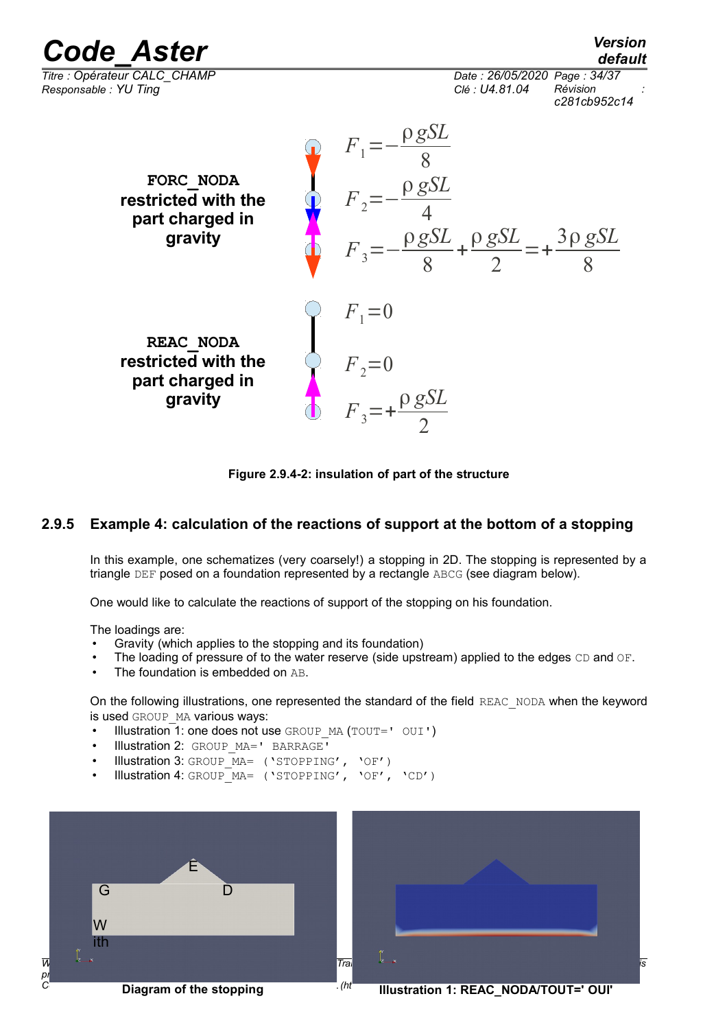*default*

*Titre : Opérateur CALC\_CHAMP Date : 26/05/2020 Page : 34/37 Responsable : YU Ting Clé : U4.81.04 Révision :*

*c281cb952c14*



<span id="page-33-1"></span>**Figure 2.9.4-2: insulation of part of the structure**

### **2.9.5 Example 4: calculation of the reactions of support at the bottom of a stopping**

<span id="page-33-0"></span>In this example, one schematizes (very coarsely!) a stopping in 2D. The stopping is represented by a triangle DEF posed on a foundation represented by a rectangle ABCG (see diagram below).

One would like to calculate the reactions of support of the stopping on his foundation.

The loadings are:

- Gravity (which applies to the stopping and its foundation)
- The loading of pressure of to the water reserve (side upstream) applied to the edges CD and OF.
- The foundation is embedded on AB.

On the following illustrations, one represented the standard of the field REAC\_NODA when the keyword is used GROUP MA various ways:

- Illustration 1: one does not use GROUP MA (TOUT=' OUI')
- Illustration 2: GROUP MA=' BARRAGE'
- Illustration 3: GROUP MA= ('STOPPING', 'OF')
- Illustration 4: GROUP\_MA= ('STOPPING', 'OF', 'CD')





**Illustration 1: REAC\_NODA/TOUT=' OUI'**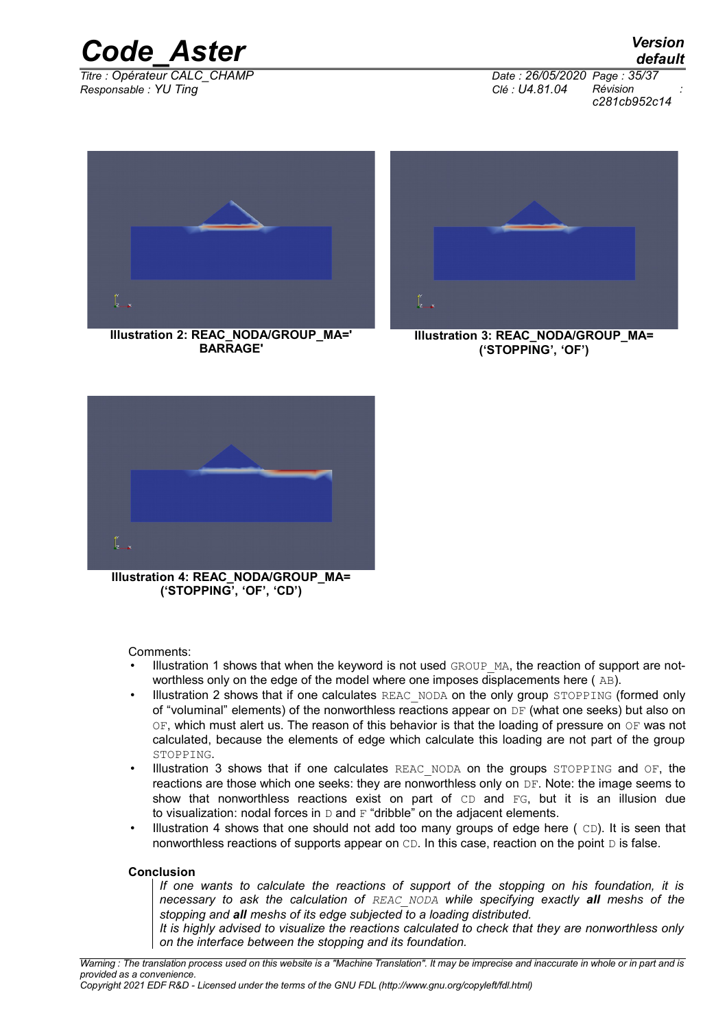

*Responsable : YU Ting Clé : U4.81.04 Révision :*

*Titre : Opérateur CALC\_CHAMP Date : 26/05/2020 Page : 35/37 c281cb952c14*

*default*



**Illustration 2: REAC\_NODA/GROUP\_MA=' BARRAGE'**



**Illustration 3: REAC\_NODA/GROUP\_MA= ('STOPPING', 'OF')**



**Illustration 4: REAC\_NODA/GROUP\_MA= ('STOPPING', 'OF', 'CD')**

Comments:

- Illustration 1 shows that when the keyword is not used GROUP MA, the reaction of support are notworthless only on the edge of the model where one imposes displacements here ( AB).
- Illustration 2 shows that if one calculates REAC\_NODA on the only group STOPPING (formed only of "voluminal" elements) of the nonworthless reactions appear on  $DF$  (what one seeks) but also on OF, which must alert us. The reason of this behavior is that the loading of pressure on OF was not calculated, because the elements of edge which calculate this loading are not part of the group STOPPING.
- Illustration 3 shows that if one calculates REAC NODA on the groups STOPPING and OF, the reactions are those which one seeks: they are nonworthless only on DF. Note: the image seems to show that nonworthless reactions exist on part of  $CD$  and  $FG$ , but it is an illusion due to visualization: nodal forces in  $D$  and  $F$  "dribble" on the adiacent elements.
- Illustration 4 shows that one should not add too many groups of edge here  $(CD)$ . It is seen that nonworthless reactions of supports appear on  $CD$ . In this case, reaction on the point  $D$  is false.

#### **Conclusion**

*If one wants to calculate the reactions of support of the stopping on his foundation, it is necessary to ask the calculation of REAC\_NODA while specifying exactly all meshs of the stopping and all meshs of its edge subjected to a loading distributed.* 

*It is highly advised to visualize the reactions calculated to check that they are nonworthless only on the interface between the stopping and its foundation.*

*Copyright 2021 EDF R&D - Licensed under the terms of the GNU FDL (http://www.gnu.org/copyleft/fdl.html)*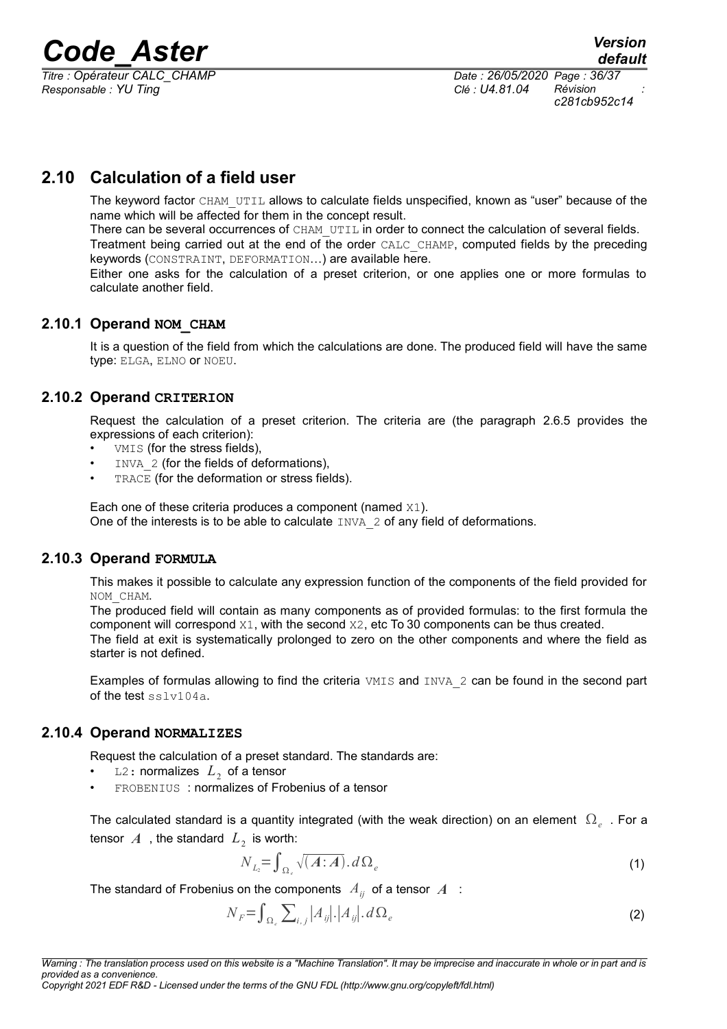*Titre : Opérateur CALC\_CHAMP Date : 26/05/2020 Page : 36/37 Responsable : YU Ting Clé : U4.81.04 Révision :*

*c281cb952c14*

### **2.10 Calculation of a field user**

<span id="page-35-4"></span>The keyword factor CHAM\_UTIL allows to calculate fields unspecified, known as "user" because of the name which will be affected for them in the concept result.

There can be several occurrences of CHAM UTIL in order to connect the calculation of several fields. Treatment being carried out at the end of the order CALC\_CHAMP, computed fields by the preceding keywords (CONSTRAINT, DEFORMATION…) are available here.

Either one asks for the calculation of a preset criterion, or one applies one or more formulas to calculate another field.

### **2.10.1 Operand NOM\_CHAM**

<span id="page-35-3"></span>It is a question of the field from which the calculations are done. The produced field will have the same type: ELGA, ELNO or NOEU.

### **2.10.2 Operand CRITERION**

<span id="page-35-2"></span>Request the calculation of a preset criterion. The criteria are (the paragraph [2.6.5](#page-20-0) provides the expressions of each criterion):

- VMIS (for the stress fields),
- INVA 2 (for the fields of deformations),
- TRACE (for the deformation or stress fields).

Each one of these criteria produces a component (named X1). One of the interests is to be able to calculate INVA 2 of any field of deformations.

### **2.10.3 Operand FORMULA**

<span id="page-35-1"></span>This makes it possible to calculate any expression function of the components of the field provided for NOM\_CHAM.

The produced field will contain as many components as of provided formulas: to the first formula the component will correspond X1, with the second X2, etc To 30 components can be thus created. The field at exit is systematically prolonged to zero on the other components and where the field as starter is not defined.

Examples of formulas allowing to find the criteria VMIS and INVA 2 can be found in the second part of the test sslv104a.

### **2.10.4 Operand NORMALIZES**

<span id="page-35-0"></span>Request the calculation of a preset standard. The standards are:

- $\Box$  2 : normalizes  $L^2$  of a tensor
- FROBENIUS : normalizes of Frobenius of a tensor

The calculated standard is a quantity integrated (with the weak direction) on an element  $\Omega_e$  . For a tensor  $A$  , the standard  $L_2$  is worth:

$$
N_{L_2} = \int_{\Omega_e} \sqrt{(A:A)} \cdot d\Omega_e \tag{1}
$$

The standard of Frobenius on the components  $A_{ii}$  of a tensor  $A$ :

$$
N_F = \int_{\Omega_e} \sum_{i,j} |A_{ij}| \cdot |A_{ij}| \cdot d\Omega_e \tag{2}
$$

*Copyright 2021 EDF R&D - Licensed under the terms of the GNU FDL (http://www.gnu.org/copyleft/fdl.html)*